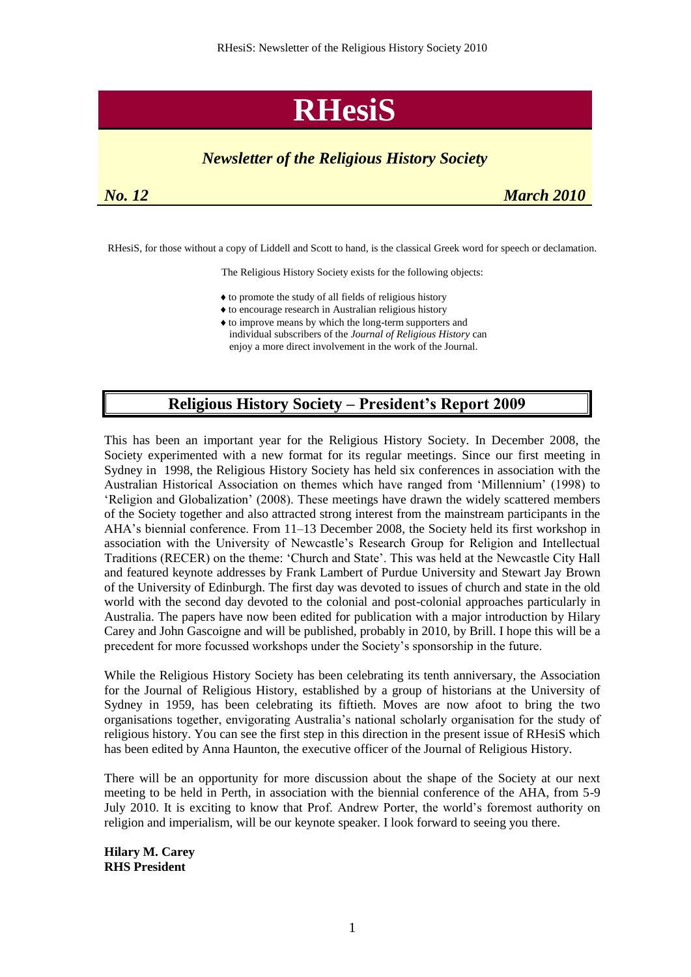# **RHesiS**

# *Newsletter of the Religious History Society*

| No. | $\overline{1}$ |  |
|-----|----------------|--|
|-----|----------------|--|

*March 2010* 

RHesiS, for those without a copy of Liddell and Scott to hand, is the classical Greek word for speech or declamation.

The Religious History Society exists for the following objects:

- $\triangle$  to promote the study of all fields of religious history
- to encourage research in Australian religious history
- to improve means by which the long-term supporters and individual subscribers of the *Journal of Religious History* can enjoy a more direct involvement in the work of the Journal.

# **Religious History Society – President's Report 2009**

This has been an important year for the Religious History Society. In December 2008, the Society experimented with a new format for its regular meetings. Since our first meeting in Sydney in 1998, the Religious History Society has held six conferences in association with the Australian Historical Association on themes which have ranged from 'Millennium' (1998) to ‗Religion and Globalization' (2008). These meetings have drawn the widely scattered members of the Society together and also attracted strong interest from the mainstream participants in the AHA's biennial conference. From 11–13 December 2008, the Society held its first workshop in association with the University of Newcastle's Research Group for Religion and Intellectual Traditions (RECER) on the theme: ‗Church and State'. This was held at the Newcastle City Hall and featured keynote addresses by Frank Lambert of Purdue University and Stewart Jay Brown of the University of Edinburgh. The first day was devoted to issues of church and state in the old world with the second day devoted to the colonial and post-colonial approaches particularly in Australia. The papers have now been edited for publication with a major introduction by Hilary Carey and John Gascoigne and will be published, probably in 2010, by Brill. I hope this will be a precedent for more focussed workshops under the Society's sponsorship in the future.

While the Religious History Society has been celebrating its tenth anniversary, the Association for the Journal of Religious History, established by a group of historians at the University of Sydney in 1959, has been celebrating its fiftieth. Moves are now afoot to bring the two organisations together, envigorating Australia's national scholarly organisation for the study of religious history. You can see the first step in this direction in the present issue of RHesiS which has been edited by Anna Haunton, the executive officer of the Journal of Religious History.

There will be an opportunity for more discussion about the shape of the Society at our next meeting to be held in Perth, in association with the biennial conference of the AHA, from 5-9 July 2010. It is exciting to know that Prof. Andrew Porter, the world's foremost authority on religion and imperialism, will be our keynote speaker. I look forward to seeing you there.

**Hilary M. Carey RHS President**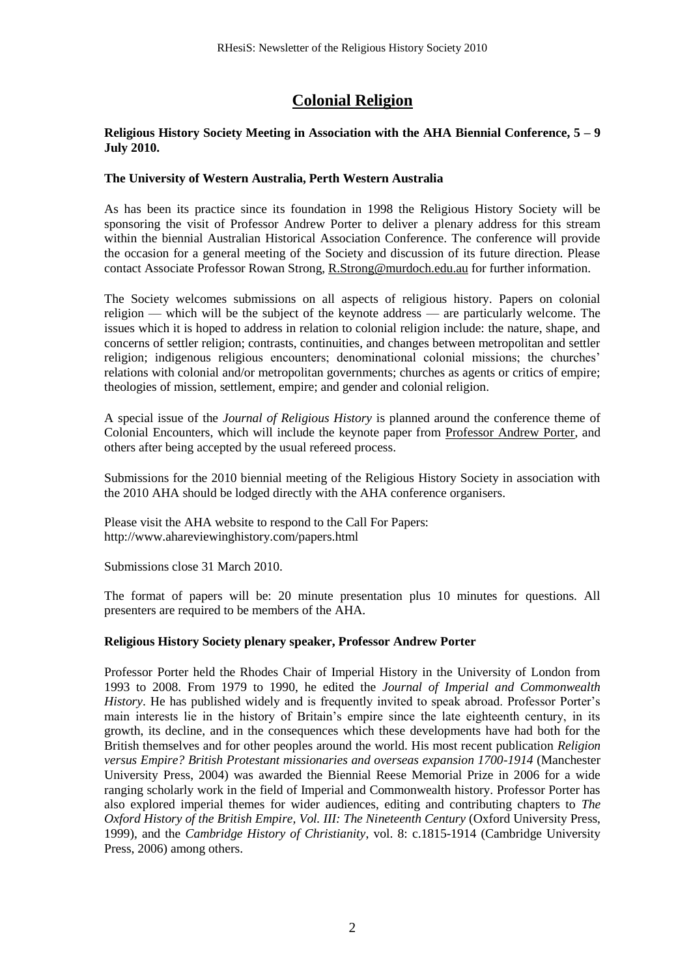# **Colonial Religion**

#### **Religious History Society Meeting in Association with the AHA Biennial Conference, 5 – 9 July 2010.**

#### **The University of Western Australia, Perth Western Australia**

As has been its practice since its foundation in 1998 the Religious History Society will be sponsoring the visit of Professor Andrew Porter to deliver a plenary address for this stream within the biennial Australian Historical Association Conference. The conference will provide the occasion for a general meeting of the Society and discussion of its future direction. Please contact Associate Professor Rowan Strong, [R.Strong@murdoch.edu.au](mailto:R.Strong@murdoch.edu.au) for further information.

The Society welcomes submissions on all aspects of religious history. Papers on colonial religion — which will be the subject of the keynote address — are particularly welcome. The issues which it is hoped to address in relation to colonial religion include: the nature, shape, and concerns of settler religion; contrasts, continuities, and changes between metropolitan and settler religion; indigenous religious encounters; denominational colonial missions; the churches' relations with colonial and/or metropolitan governments; churches as agents or critics of empire; theologies of mission, settlement, empire; and gender and colonial religion.

A special issue of the *Journal of Religious History* is planned around the conference theme of Colonial Encounters, which will include the keynote paper from [Professor Andrew Porter,](http://www.ahareviewinghistory.com/keynote.html) and others after being accepted by the usual refereed process.

Submissions for the 2010 biennial meeting of the Religious History Society in association with the 2010 AHA should be lodged directly with the AHA conference organisers.

Please visit the AHA website to respond to the Call For Papers: http://www.ahareviewinghistory.com/papers.html

Submissions close 31 March 2010.

The format of papers will be: 20 minute presentation plus 10 minutes for questions. All presenters are required to be members of the AHA.

#### **Religious History Society plenary speaker, Professor Andrew Porter**

Professor Porter held the Rhodes Chair of Imperial History in the University of London from 1993 to 2008. From 1979 to 1990, he edited the *Journal of Imperial and Commonwealth History*. He has published widely and is frequently invited to speak abroad. Professor Porter's main interests lie in the history of Britain's empire since the late eighteenth century, in its growth, its decline, and in the consequences which these developments have had both for the British themselves and for other peoples around the world. His most recent publication *Religion versus Empire? British Protestant missionaries and overseas expansion 1700-1914* (Manchester University Press, 2004) was awarded the Biennial Reese Memorial Prize in 2006 for a wide ranging scholarly work in the field of Imperial and Commonwealth history. Professor Porter has also explored imperial themes for wider audiences, editing and contributing chapters to *The Oxford History of the British Empire, Vol. III: The Nineteenth Century* (Oxford University Press, 1999), and the *Cambridge History of Christianity*, vol. 8: c.1815-1914 (Cambridge University Press, 2006) among others.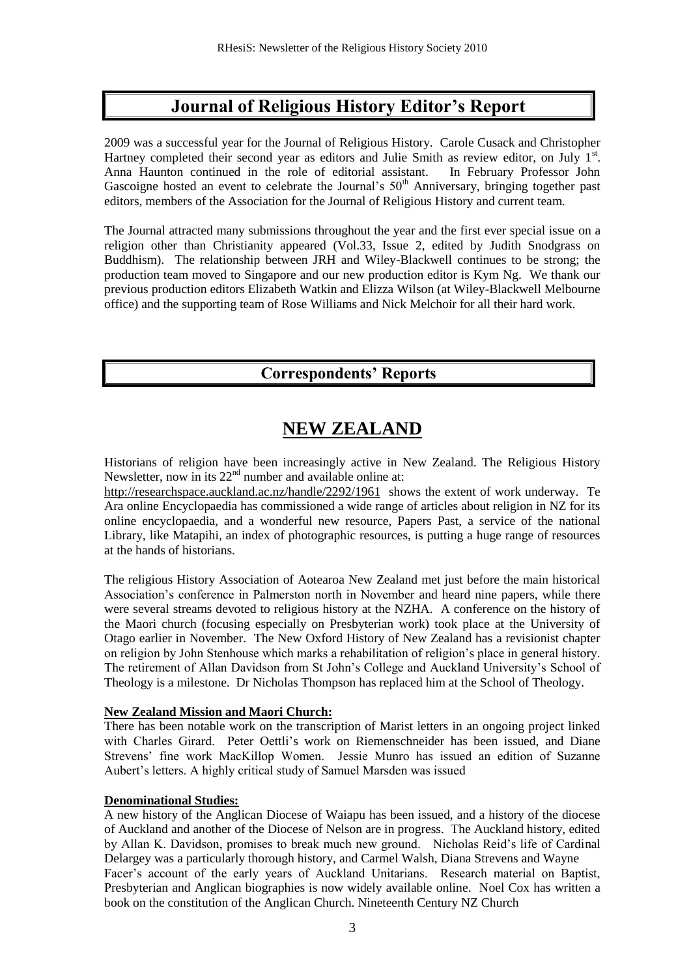# **Journal of Religious History Editor's Report**

2009 was a successful year for the Journal of Religious History. Carole Cusack and Christopher Hartney completed their second year as editors and Julie Smith as review editor, on July  $1<sup>st</sup>$ . Anna Haunton continued in the role of editorial assistant. In February Professor John Gascoigne hosted an event to celebrate the Journal's  $50<sup>th</sup>$  Anniversary, bringing together past editors, members of the Association for the Journal of Religious History and current team.

The Journal attracted many submissions throughout the year and the first ever special issue on a religion other than Christianity appeared (Vol.33, Issue 2, edited by Judith Snodgrass on Buddhism). The relationship between JRH and Wiley-Blackwell continues to be strong; the production team moved to Singapore and our new production editor is Kym Ng. We thank our previous production editors Elizabeth Watkin and Elizza Wilson (at Wiley-Blackwell Melbourne office) and the supporting team of Rose Williams and Nick Melchoir for all their hard work.

# **Correspondents' Reports**

# **NEW ZEALAND**

Historians of religion have been increasingly active in New Zealand. The Religious History Newsletter, now in its  $22<sup>nd</sup>$  number and available online at:

<http://researchspace.auckland.ac.nz/handle/2292/1961>shows the extent of work underway. Te Ara online Encyclopaedia has commissioned a wide range of articles about religion in NZ for its online encyclopaedia, and a wonderful new resource, Papers Past, a service of the national Library, like Matapihi, an index of photographic resources, is putting a huge range of resources at the hands of historians.

The religious History Association of Aotearoa New Zealand met just before the main historical Association's conference in Palmerston north in November and heard nine papers, while there were several streams devoted to religious history at the NZHA. A conference on the history of the Maori church (focusing especially on Presbyterian work) took place at the University of Otago earlier in November. The New Oxford History of New Zealand has a revisionist chapter on religion by John Stenhouse which marks a rehabilitation of religion's place in general history. The retirement of Allan Davidson from St John's College and Auckland University's School of Theology is a milestone. Dr Nicholas Thompson has replaced him at the School of Theology.

### **New Zealand Mission and Maori Church:**

There has been notable work on the transcription of Marist letters in an ongoing project linked with Charles Girard. Peter Oettli's work on Riemenschneider has been issued, and Diane Strevens' fine work MacKillop Women. Jessie Munro has issued an edition of Suzanne Aubert's letters. A highly critical study of Samuel Marsden was issued

#### **Denominational Studies:**

A new history of the Anglican Diocese of Waiapu has been issued, and a history of the diocese of Auckland and another of the Diocese of Nelson are in progress. The Auckland history, edited by Allan K. Davidson, promises to break much new ground. Nicholas Reid's life of Cardinal Delargey was a particularly thorough history, and Carmel Walsh, Diana Strevens and Wayne Facer's account of the early years of Auckland Unitarians. Research material on Baptist, Presbyterian and Anglican biographies is now widely available online. Noel Cox has written a book on the constitution of the Anglican Church. Nineteenth Century NZ Church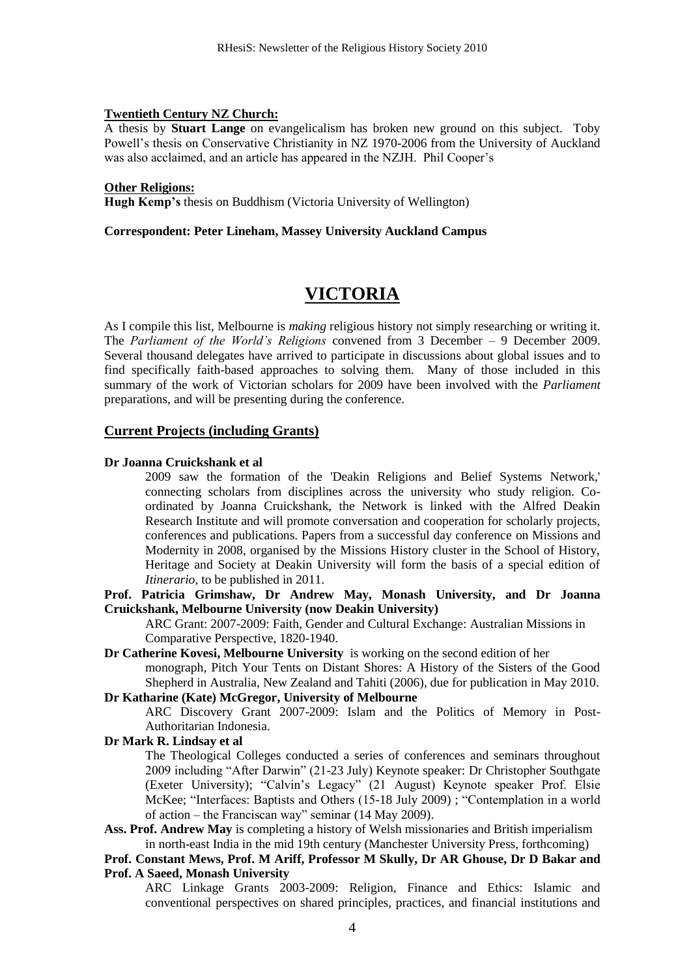#### **Twentieth Century NZ Church:**

A thesis by **Stuart Lange** on evangelicalism has broken new ground on this subject. Toby Powell's thesis on Conservative Christianity in NZ 1970-2006 from the University of Auckland was also acclaimed, and an article has appeared in the NZJH. Phil Cooper's

#### **Other Religions:**

**Hugh Kemp's** thesis on Buddhism (Victoria University of Wellington)

#### **Correspondent: Peter Lineham, Massey University Auckland Campus**

# **VICTORIA**

As I compile this list, Melbourne is *making* religious history not simply researching or writing it. The *Parliament of the World's Religions* convened from 3 December – 9 December 2009. Several thousand delegates have arrived to participate in discussions about global issues and to find specifically faith-based approaches to solving them. Many of those included in this summary of the work of Victorian scholars for 2009 have been involved with the *Parliament* preparations, and will be presenting during the conference.

#### **Current Projects (including Grants)**

#### **Dr Joanna Cruickshank et al**

2009 saw the formation of the 'Deakin Religions and Belief Systems Network,' connecting scholars from disciplines across the university who study religion. Coordinated by Joanna Cruickshank, the Network is linked with the Alfred Deakin Research Institute and will promote conversation and cooperation for scholarly projects, conferences and publications. Papers from a successful day conference on Missions and Modernity in 2008, organised by the Missions History cluster in the School of History, Heritage and Society at Deakin University will form the basis of a special edition of *Itinerario*, to be published in 2011.

**Prof. Patricia Grimshaw, Dr Andrew May, Monash University, and Dr Joanna Cruickshank, Melbourne University (now Deakin University)**

ARC Grant: 2007-2009: Faith, Gender and Cultural Exchange: Australian Missions in Comparative Perspective, 1820-1940.

#### **Dr Catherine Kovesi, Melbourne University** is working on the second edition of her

monograph, Pitch Your Tents on Distant Shores: A History of the Sisters of the Good Shepherd in Australia, New Zealand and Tahiti (2006), due for publication in May 2010.

#### **Dr Katharine (Kate) McGregor, University of Melbourne**

ARC Discovery Grant 2007-2009: Islam and the Politics of Memory in Post-Authoritarian Indonesia.

#### **Dr Mark R. Lindsay et al**

The Theological Colleges conducted a series of conferences and seminars throughout 2009 including "After Darwin" (21-23 July) Keynote speaker: Dr Christopher Southgate (Exeter University); "Calvin's Legacy" (21 August) Keynote speaker Prof. Elsie McKee; "Interfaces: Baptists and Others (15-18 July 2009) ; "Contemplation in a world of action – the Franciscan way" seminar (14 May 2009).

**Ass. Prof. Andrew May** is completing a history of Welsh missionaries and British imperialism in north-east India in the mid 19th century (Manchester University Press, forthcoming)

#### **Prof. Constant Mews, Prof. M Ariff, Professor M Skully, Dr AR Ghouse, Dr D Bakar and Prof. A Saeed, Monash University**

ARC Linkage Grants 2003-2009: Religion, Finance and Ethics: Islamic and conventional perspectives on shared principles, practices, and financial institutions and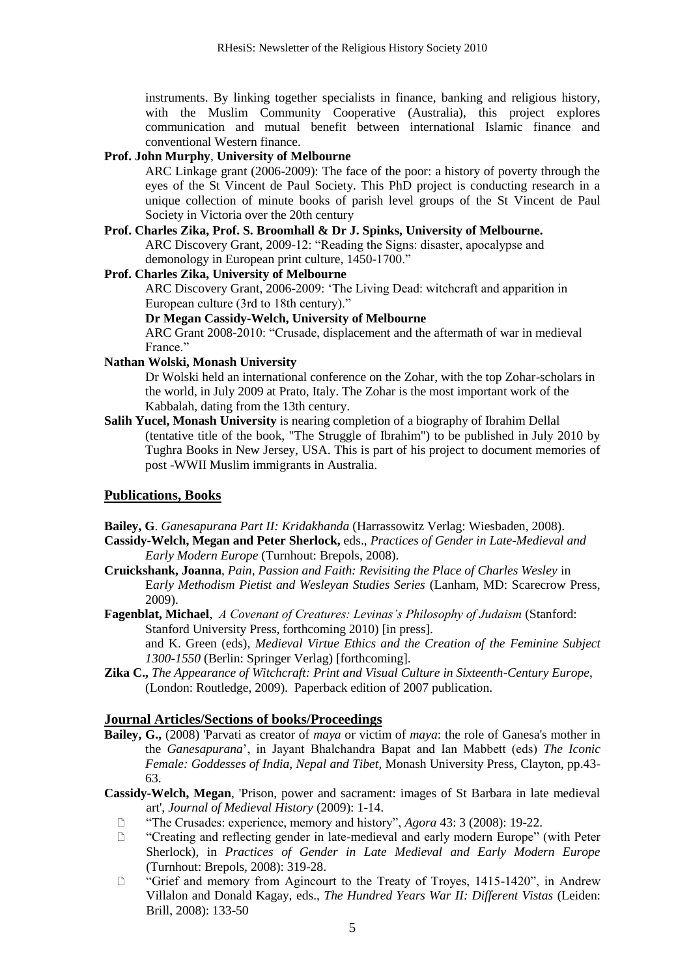instruments. By linking together specialists in finance, banking and religious history, with the Muslim Community Cooperative (Australia), this project explores communication and mutual benefit between international Islamic finance and conventional Western finance.

#### **Prof. John Murphy**, **University of Melbourne**

ARC Linkage grant (2006-2009): The face of the poor: a history of poverty through the eyes of the St Vincent de Paul Society. This PhD project is conducting research in a unique collection of minute books of parish level groups of the St Vincent de Paul Society in Victoria over the 20th century

**Prof. Charles Zika, Prof. S. Broomhall & Dr J. Spinks, University of Melbourne.** ARC Discovery Grant, 2009-12: "Reading the Signs: disaster, apocalypse and demonology in European print culture, 1450-1700."

#### **Prof. Charles Zika, University of Melbourne**

ARC Discovery Grant, 2006-2009: 'The Living Dead: witchcraft and apparition in European culture (3rd to 18th century)."

#### **Dr Megan Cassidy-Welch, University of Melbourne**

ARC Grant 2008-2010: "Crusade, displacement and the aftermath of war in medieval France."

#### **Nathan Wolski, Monash University**

Dr Wolski held an international conference on the Zohar, with the top Zohar-scholars in the world, in July 2009 at Prato, Italy. The Zohar is the most important work of the Kabbalah, dating from the 13th century.

**Salih Yucel, Monash University** is nearing completion of a biography of Ibrahim Dellal (tentative title of the book, "The Struggle of Ibrahim") to be published in July 2010 by Tughra Books in New Jersey, USA. This is part of his project to document memories of post -WWII Muslim immigrants in Australia.

#### **Publications, Books**

**Bailey, G**. *Ganesapurana Part II: Kridakhanda* (Harrassowitz Verlag: Wiesbaden, 2008).

- **Cassidy-Welch, Megan and Peter Sherlock,** eds., *Practices of Gender in Late-Medieval and Early Modern Europe* (Turnhout: Brepols, 2008).
- **Cruickshank, Joanna**, *Pain, Passion and Faith: Revisiting the Place of Charles Wesley* in E*arly Methodism Pietist and Wesleyan Studies Series* (Lanham, MD: Scarecrow Press, 2009).
- **Fagenblat, Michael**, *A Covenant of Creatures: Levinas's Philosophy of Judaism* (Stanford: Stanford University Press, forthcoming 2010) [in press]. and K. Green (eds), *Medieval Virtue Ethics and the Creation of the Feminine Subject 1300-1550* (Berlin: Springer Verlag) [forthcoming].
- **Zika C.,** *The Appearance of Witchcraft: Print and Visual Culture in Sixteenth-Century Europe*, (London: Routledge, 2009). Paperback edition of 2007 publication.

#### **Journal Articles/Sections of books/Proceedings**

- **Bailey, G.,** (2008) 'Parvati as creator of *maya* or victim of *maya*: the role of Ganesa's mother in the *Ganesapurana*', in Jayant Bhalchandra Bapat and Ian Mabbett (eds) *The Iconic Female: Goddesses of India, Nepal and Tibet*, Monash University Press, Clayton, pp.43- 63.
- **Cassidy-Welch, Megan**, 'Prison, power and sacrament: images of St Barbara in late medieval art', *Journal of Medieval History* (2009): 1-14.
	- ―The Crusades: experience, memory and history‖, *Agora* 43: 3 (2008): 19-22.
	- $\Box$  "Creating and reflecting gender in late-medieval and early modern Europe" (with Peter Sherlock), in *Practices of Gender in Late Medieval and Early Modern Europe*  (Turnhout: Brepols, 2008): 319-28.
	- □ "Grief and memory from Agincourt to the Treaty of Troyes, 1415-1420", in Andrew Villalon and Donald Kagay, eds., *The Hundred Years War II: Different Vistas* (Leiden: Brill, 2008): 133-50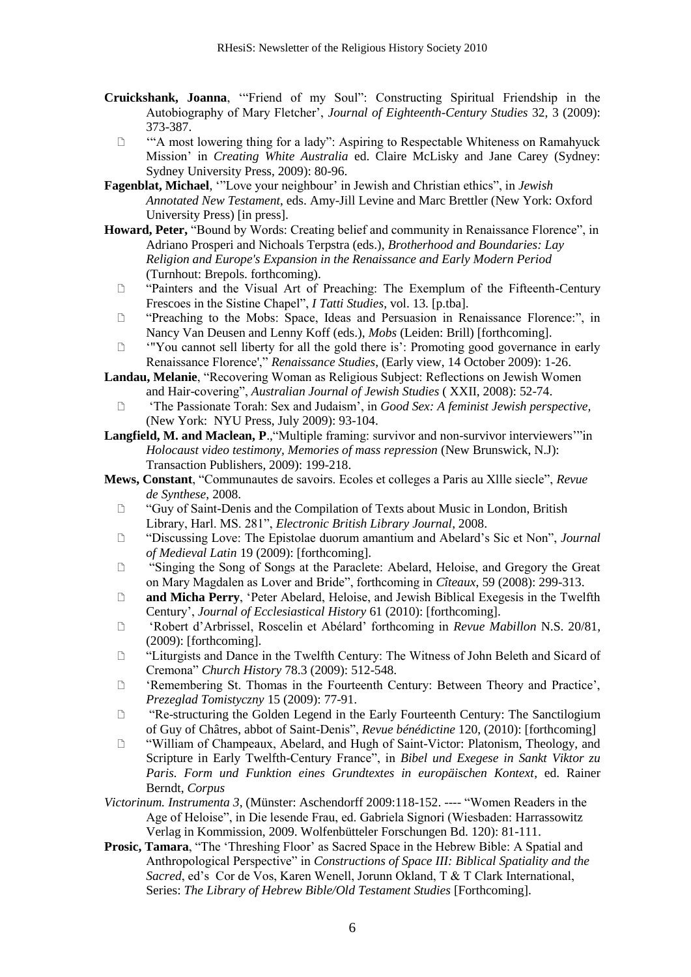- **Cruickshank, Joanna**, "Friend of my Soul": Constructing Spiritual Friendship in the Autobiography of Mary Fletcher', *Journal of Eighteenth-Century Studies* 32, 3 (2009): 373-387.
	- □ "A most lowering thing for a lady": Aspiring to Respectable Whiteness on Ramahyuck Mission' in *Creating White Australia* ed. Claire McLisky and Jane Carey (Sydney: Sydney University Press, 2009): 80-96.
- **Fagenblat, Michael**, "Love your neighbour' in Jewish and Christian ethics", in *Jewish Annotated New Testament*, eds. Amy-Jill Levine and Marc Brettler (New York: Oxford University Press) [in press].
- Howard, Peter, "Bound by Words: Creating belief and community in Renaissance Florence", in Adriano Prosperi and Nichoals Terpstra (eds.), *Brotherhood and Boundaries: Lay Religion and Europe's Expansion in the Renaissance and Early Modern Period* (Turnhout: Brepols. forthcoming).
	- ―Painters and the Visual Art of Preaching: The Exemplum of the Fifteenth-Century Frescoes in the Sistine Chapel", *I Tatti Studies*, vol. 13. [p.tba].
	- □ "Preaching to the Mobs: Space, Ideas and Persuasion in Renaissance Florence:", in Nancy Van Deusen and Lenny Koff (eds.), *Mobs* (Leiden: Brill) [forthcoming].
	- ‗"You cannot sell liberty for all the gold there is': Promoting good governance in early Renaissance Florence'," *Renaissance Studies*, (Early view, 14 October 2009): 1-26.
- **Landau, Melanie**, "Recovering Woman as Religious Subject: Reflections on Jewish Women and Hair-covering", *Australian Journal of Jewish Studies* (XXII, 2008): 52-74.
	- ‗The Passionate Torah: Sex and Judaism', in *Good Sex: A feminist Jewish perspective,*  (New York: NYU Press, July 2009): 93-104.
- **Langfield, M. and Maclean, P.**, "Multiple framing: survivor and non-survivor interviewers'"in *Holocaust video testimony, Memories of mass repression* (New Brunswick, N.J): Transaction Publishers, 2009): 199-218.
- **Mews, Constant**, "Communautes de savoirs. Ecoles et colleges a Paris au XIIIe siecle", *Revue de Synthese*, 2008.
	- ―Guy of Saint-Denis and the Compilation of Texts about Music in London, British Library, Harl. MS. 281‖, *Electronic British Library Journal*, 2008.
	- ―Discussing Love: The Epistolae duorum amantium and Abelard's Sic et Non‖, *Journal of Medieval Latin* 19 (2009): [forthcoming].
	- ―Singing the Song of Songs at the Paraclete: Abelard, Heloise, and Gregory the Great on Mary Magdalen as Lover and Bride‖, forthcoming in *Cîteaux*, 59 (2008): 299-313.
	- **and Micha Perry, 'Peter Abelard, Heloise, and Jewish Biblical Exegesis in the Twelfth** Century', *Journal of Ecclesiastical History* 61 (2010): [forthcoming].
	- ‗Robert d'Arbrissel, Roscelin et Abélard' forthcoming in *Revue Mabillon* N.S. 20/81, (2009): [forthcoming].
	- ―Liturgists and Dance in the Twelfth Century: The Witness of John Beleth and Sicard of Cremona‖ *Church History* 78.3 (2009): 512-548.
	- <sup>2</sup> 'Remembering St. Thomas in the Fourteenth Century: Between Theory and Practice', *Prezeglad Tomistyczny* 15 (2009): 77-91.
	- □ "Re-structuring the Golden Legend in the Early Fourteenth Century: The Sanctilogium of Guy of Châtres, abbot of Saint-Denis", *Revue bénédictine* 120, (2010): [forthcoming]
	- ―William of Champeaux, Abelard, and Hugh of Saint-Victor: Platonism, Theology, and Scripture in Early Twelfth-Century France", in *Bibel und Exegese in Sankt Viktor zu Paris. Form und Funktion eines Grundtextes in europäischen Kontext*, ed. Rainer Berndt, *Corpus*
- *Victorinum. Instrumenta 3*, (Münster: Aschendorff 2009:118-152. ---- "Women Readers in the Age of Heloise", in Die lesende Frau, ed. Gabriela Signori (Wiesbaden: Harrassowitz Verlag in Kommission, 2009. Wolfenbütteler Forschungen Bd. 120): 81-111.
- **Prosic, Tamara**, "The 'Threshing Floor' as Sacred Space in the Hebrew Bible: A Spatial and Anthropological Perspective" in *Constructions of Space III: Biblical Spatiality and the Sacred*, ed's Cor de Vos, Karen Wenell, Jorunn Okland, T & T Clark International, Series: *The Library of Hebrew Bible/Old Testament Studies* [Forthcoming].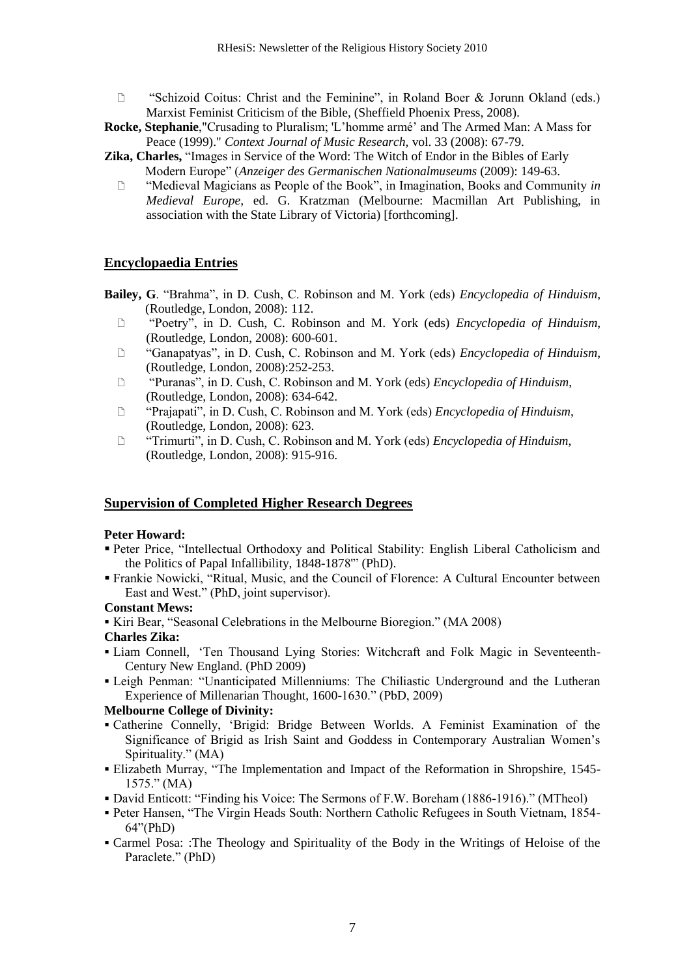- $\Box$  "Schizoid Coitus: Christ and the Feminine", in Roland Boer & Jorunn Okland (eds.) Marxist Feminist Criticism of the Bible, (Sheffield Phoenix Press, 2008).
- **Rocke, Stephanie**,"Crusading to Pluralism; 'L'homme armé' and The Armed Man: A Mass for Peace (1999)." *Context Journal of Music Research,* vol. 33 (2008): 67-79.
- Zika, Charles, "Images in Service of the Word: The Witch of Endor in the Bibles of Early Modern Europe‖ (*Anzeiger des Germanischen Nationalmuseums* (2009): 149-63.
	- ―Medieval Magicians as People of the Book‖, in Imagination, Books and Community *in Medieval Europe,* ed. G. Kratzman (Melbourne: Macmillan Art Publishing, in association with the State Library of Victoria) [forthcoming].

#### **Encyclopaedia Entries**

- Bailey, G. "Brahma", in D. Cush, C. Robinson and M. York (eds) *Encyclopedia of Hinduism*, (Routledge, London, 2008): 112.
	- ―Poetry‖, in D. Cush, C. Robinson and M. York (eds) *Encyclopedia of Hinduism*, (Routledge, London, 2008): 600-601.
	- ―Ganapatyas‖, in D. Cush, C. Robinson and M. York (eds) *Encyclopedia of Hinduism*, (Routledge, London, 2008):252-253.
	- ―Puranas‖, in D. Cush, C. Robinson and M. York (eds) *Encyclopedia of Hinduism*, (Routledge, London, 2008): 634-642.
	- ―Prajapati‖, in D. Cush, C. Robinson and M. York (eds) *Encyclopedia of Hinduism*, (Routledge, London, 2008): 623.
	- □ "Trimurti", in D. Cush, C. Robinson and M. York (eds) *Encyclopedia of Hinduism*, (Routledge, London, 2008): 915-916.

#### **Supervision of Completed Higher Research Degrees**

#### **Peter Howard:**

- Peter Price, "Intellectual Orthodoxy and Political Stability: English Liberal Catholicism and the Politics of Papal Infallibility, 1848-1878" (PhD).
- Frankie Nowicki, "Ritual, Music, and the Council of Florence: A Cultural Encounter between East and West." (PhD, joint supervisor).

#### **Constant Mews:**

Kiri Bear, "Seasonal Celebrations in the Melbourne Bioregion." (MA 2008)

#### **Charles Zika:**

- Liam Connell, ‗Ten Thousand Lying Stories: Witchcraft and Folk Magic in Seventeenth-Century New England. (PhD 2009)
- Leigh Penman: "Unanticipated Millenniums: The Chiliastic Underground and the Lutheran Experience of Millenarian Thought, 1600-1630." (PbD, 2009)

#### **Melbourne College of Divinity:**

- Catherine Connelly, ‗Brigid: Bridge Between Worlds. A Feminist Examination of the Significance of Brigid as Irish Saint and Goddess in Contemporary Australian Women's Spirituality." (MA)
- Elizabeth Murray, "The Implementation and Impact of the Reformation in Shropshire, 1545- $1575." (MA)$
- David Enticott: "Finding his Voice: The Sermons of F.W. Boreham (1886-1916)." (MTheol)
- Peter Hansen, "The Virgin Heads South: Northern Catholic Refugees in South Vietnam, 1854- $64$ "(PhD)
- Carmel Posa: :The Theology and Spirituality of the Body in the Writings of Heloise of the Paraclete." (PhD)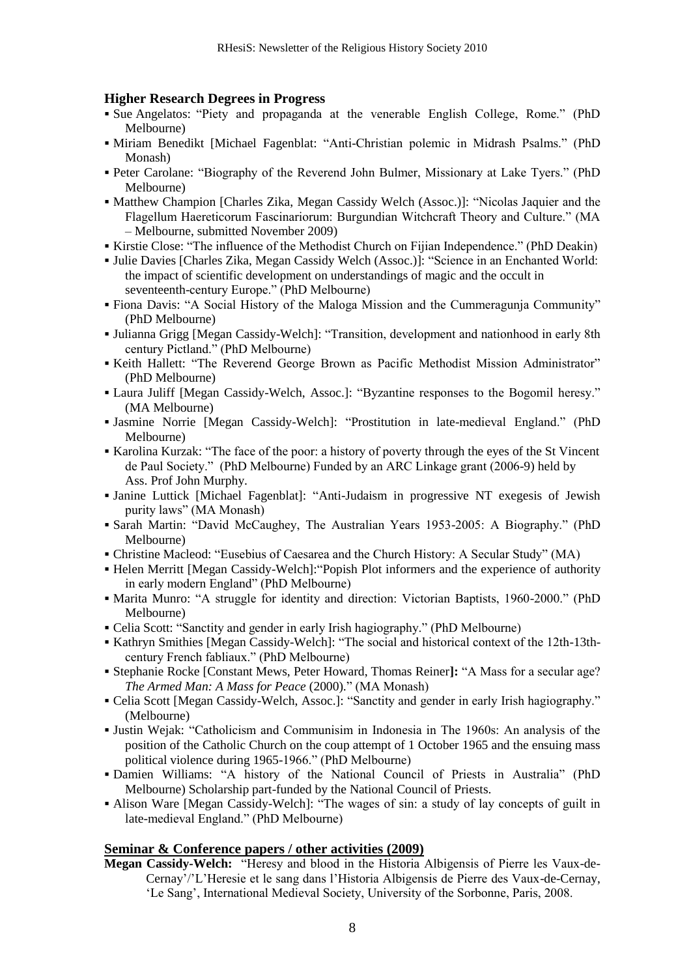#### **Higher Research Degrees in Progress**

- Sue Angelatos: "Piety and propaganda at the venerable English College, Rome." (PhD Melbourne)
- Miriam Benedikt [Michael Fagenblat: "Anti-Christian polemic in Midrash Psalms." (PhD Monash)
- Peter Carolane: "Biography of the Reverend John Bulmer, Missionary at Lake Tyers." (PhD Melbourne)
- Matthew Champion [Charles Zika, Megan Cassidy Welch (Assoc.)]: "Nicolas Jaquier and the Flagellum Haereticorum Fascinariorum: Burgundian Witchcraft Theory and Culture." (MA – Melbourne, submitted November 2009)
- Kirstie Close: "The influence of the Methodist Church on Fijian Independence." (PhD Deakin)
- Julie Davies [Charles Zika, Megan Cassidy Welch (Assoc.)]: "Science in an Enchanted World: the impact of scientific development on understandings of magic and the occult in seventeenth-century Europe." (PhD Melbourne)
- Fiona Davis: "A Social History of the Maloga Mission and the Cummeragunia Community" (PhD Melbourne)
- Julianna Grigg [Megan Cassidy-Welch]: "Transition, development and nationhood in early 8th century Pictland." (PhD Melbourne)
- Keith Hallett: "The Reverend George Brown as Pacific Methodist Mission Administrator" (PhD Melbourne)
- Laura Juliff [Megan Cassidy-Welch, Assoc.]: "Byzantine responses to the Bogomil heresy." (MA Melbourne)
- Jasmine Norrie [Megan Cassidy-Welch]: "Prostitution in late-medieval England." (PhD Melbourne)
- Karolina Kurzak: ―The face of the poor: a history of poverty through the eyes of the St Vincent de Paul Society.‖ (PhD Melbourne) Funded by an ARC Linkage grant (2006-9) held by Ass. Prof John Murphy.
- Janine Luttick [Michael Fagenblat]: "Anti-Judaism in progressive NT exegesis of Jewish purity laws" (MA Monash)
- Sarah Martin: "David McCaughey, The Australian Years 1953-2005: A Biography." (PhD Melbourne)
- Christine Macleod: "Eusebius of Caesarea and the Church History: A Secular Study" (MA)
- Helen Merritt [Megan Cassidy-Welch]: "Popish Plot informers and the experience of authority in early modern England" (PhD Melbourne)
- Marita Munro: "A struggle for identity and direction: Victorian Baptists, 1960-2000." (PhD Melbourne)
- Celia Scott: "Sanctity and gender in early Irish hagiography." (PhD Melbourne)
- Kathryn Smithies [Megan Cassidy-Welch]: "The social and historical context of the 12th-13thcentury French fabliaux." (PhD Melbourne)
- **Stephanie Rocke [Constant Mews, Peter Howard, Thomas Reiner]: "A Mass for a secular age?** *The Armed Man: A Mass for Peace (2000).*" (MA Monash)
- Celia Scott [Megan Cassidy-Welch, Assoc.]: "Sanctity and gender in early Irish hagiography." (Melbourne)
- Justin Wejak: ―Catholicism and Communisim in Indonesia in The 1960s: An analysis of the position of the Catholic Church on the coup attempt of 1 October 1965 and the ensuing mass political violence during 1965-1966." (PhD Melbourne)
- Damien Williams: "A history of the National Council of Priests in Australia" (PhD Melbourne) Scholarship part-funded by the National Council of Priests.
- Alison Ware [Megan Cassidy-Welch]: "The wages of sin: a study of lay concepts of guilt in late-medieval England." (PhD Melbourne)

#### **Seminar & Conference papers / other activities (2009)**

Megan Cassidy-Welch: "Heresy and blood in the Historia Albigensis of Pierre les Vaux-de-Cernay'/'L'Heresie et le sang dans l'Historia Albigensis de Pierre des Vaux-de-Cernay, ‗Le Sang', International Medieval Society, University of the Sorbonne, Paris, 2008.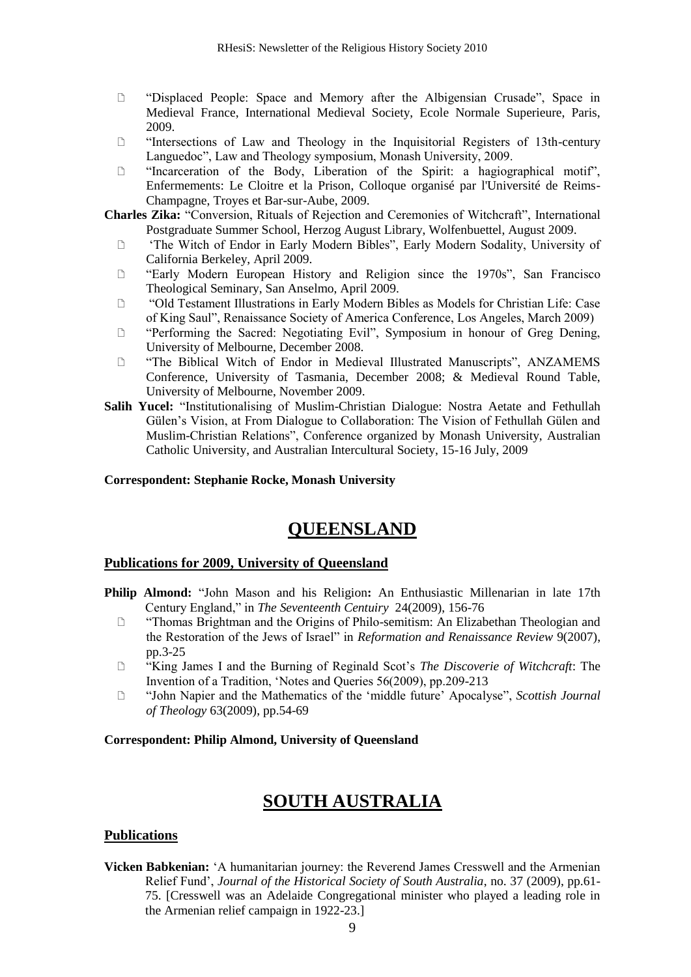- ―Displaced People: Space and Memory after the Albigensian Crusade‖, Space in Medieval France, International Medieval Society, Ecole Normale Superieure, Paris, 2009.
- $\Box$  "Intersections of Law and Theology in the Inquisitorial Registers of 13th-century Languedoc", Law and Theology symposium, Monash University, 2009.
- $\Box$  "Incarceration of the Body, Liberation of the Spirit: a hagiographical motif", Enfermements: Le Cloitre et la Prison, Colloque organisé par l'Université de Reims-Champagne, Troyes et Bar-sur-Aube, 2009.
- **Charles Zika:** "Conversion, Rituals of Rejection and Ceremonies of Witchcraft", International Postgraduate Summer School, Herzog August Library, Wolfenbuettel, August 2009.
	- □ The Witch of Endor in Early Modern Bibles", Early Modern Sodality, University of California Berkeley, April 2009.
	- $\Box$  "Early Modern European History and Religion since the 1970s", San Francisco Theological Seminary, San Anselmo, April 2009.
	- ―Old Testament Illustrations in Early Modern Bibles as Models for Christian Life: Case of King Saul‖, Renaissance Society of America Conference, Los Angeles, March 2009)
	- **Example 12 Conserved:** Negotiating Evil", Symposium in honour of Greg Dening, University of Melbourne, December 2008.
	- ―The Biblical Witch of Endor in Medieval Illustrated Manuscripts‖, ANZAMEMS Conference, University of Tasmania, December 2008; & Medieval Round Table, University of Melbourne, November 2009.
- **Salih Yucel:** "Institutionalising of Muslim-Christian Dialogue: Nostra Aetate and Fethullah Gülen's Vision, at From Dialogue to Collaboration: The Vision of Fethullah Gülen and Muslim-Christian Relations", Conference organized by Monash University, Australian Catholic University, and Australian Intercultural Society, 15-16 July, 2009

#### **Correspondent: Stephanie Rocke, Monash University**

# **QUEENSLAND**

#### **Publications for 2009, University of Queensland**

- **Philip Almond:** "John Mason and his Religion: An Enthusiastic Millenarian in late 17th Century England," in *The Seventeenth Centuiry* 24(2009), 156-76
	- ―Thomas Brightman and the Origins of Philo-semitism: An Elizabethan Theologian and the Restoration of the Jews of Israel" in *Reformation and Renaissance Review* 9(2007), pp.3-25
	- ―King James I and the Burning of Reginald Scot's *The Discoverie of Witchcraft*: The Invention of a Tradition, 'Notes and Oueries 56(2009), pp.209-213
	- □ "John Napier and the Mathematics of the 'middle future' Apocalyse", *Scottish Journal of Theology* 63(2009), pp.54-69

#### **Correspondent: Philip Almond, University of Queensland**

# **SOUTH AUSTRALIA**

### **Publications**

**Vicken Babkenian:** ‗A humanitarian journey: the Reverend James Cresswell and the Armenian Relief Fund', *Journal of the Historical Society of South Australia*, no. 37 (2009), pp.61- 75. [Cresswell was an Adelaide Congregational minister who played a leading role in the Armenian relief campaign in 1922-23.]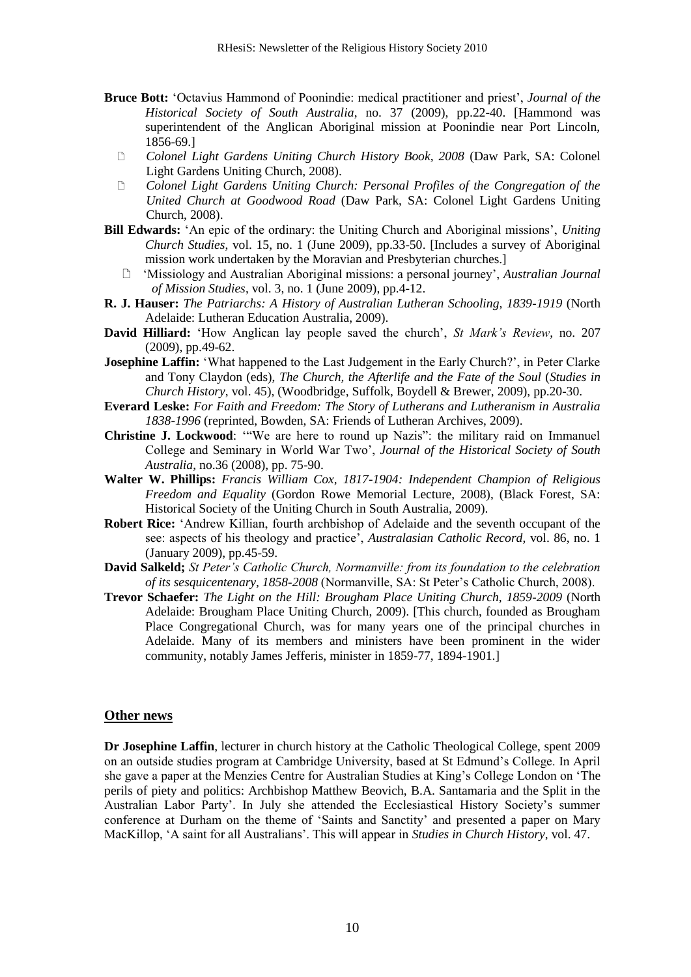- **Bruce Bott:** 'Octavius Hammond of Poonindie: medical practitioner and priest', *Journal of the Historical Society of South Australia*, no. 37 (2009), pp.22-40. [Hammond was superintendent of the Anglican Aboriginal mission at Poonindie near Port Lincoln, 1856-69.]
	- *Colonel Light Gardens Uniting Church History Book, 2008* (Daw Park, SA: Colonel Light Gardens Uniting Church, 2008).
	- *Colonel Light Gardens Uniting Church: Personal Profiles of the Congregation of the United Church at Goodwood Road* (Daw Park, SA: Colonel Light Gardens Uniting Church, 2008).
- **Bill Edwards:** ‗An epic of the ordinary: the Uniting Church and Aboriginal missions', *Uniting Church Studies*, vol. 15, no. 1 (June 2009), pp.33-50. [Includes a survey of Aboriginal mission work undertaken by the Moravian and Presbyterian churches.]
	- ‗Missiology and Australian Aboriginal missions: a personal journey', *Australian Journal of Mission Studies*, vol. 3, no. 1 (June 2009), pp.4-12.
- **R. J. Hauser:** *The Patriarchs: A History of Australian Lutheran Schooling, 1839-1919* (North Adelaide: Lutheran Education Australia, 2009).
- **David Hilliard:** 'How Anglican lay people saved the church', *St Mark's Review*, no. 207 (2009), pp.49-62.
- **Josephine Laffin:** 'What happened to the Last Judgement in the Early Church?', in Peter Clarke and Tony Claydon (eds), *The Church, the Afterlife and the Fate of the Soul* (*Studies in Church History*, vol. 45), (Woodbridge, Suffolk, Boydell & Brewer, 2009), pp.20-30.
- **Everard Leske:** *For Faith and Freedom: The Story of Lutherans and Lutheranism in Australia 1838-1996* (reprinted, Bowden, SA: Friends of Lutheran Archives, 2009).
- Christine J. Lockwood: "We are here to round up Nazis": the military raid on Immanuel College and Seminary in World War Two', *Journal of the Historical Society of South Australia*, no.36 (2008), pp. 75-90.
- **Walter W. Phillips:** *Francis William Cox, 1817-1904: Independent Champion of Religious Freedom and Equality* (Gordon Rowe Memorial Lecture, 2008), (Black Forest, SA: Historical Society of the Uniting Church in South Australia, 2009).
- **Robert Rice:** ‗Andrew Killian, fourth archbishop of Adelaide and the seventh occupant of the see: aspects of his theology and practice', *Australasian Catholic Record*, vol. 86, no. 1 (January 2009), pp.45-59.
- **David Salkeld;** *St Peter's Catholic Church, Normanville: from its foundation to the celebration of its sesquicentenary, 1858-2008* (Normanville, SA: St Peter's Catholic Church, 2008).
- **Trevor Schaefer:** *The Light on the Hill: Brougham Place Uniting Church, 1859-2009* (North Adelaide: Brougham Place Uniting Church, 2009). [This church, founded as Brougham Place Congregational Church, was for many years one of the principal churches in Adelaide. Many of its members and ministers have been prominent in the wider community, notably James Jefferis, minister in 1859-77, 1894-1901.]

#### **Other news**

**Dr Josephine Laffin**, lecturer in church history at the Catholic Theological College, spent 2009 on an outside studies program at Cambridge University, based at St Edmund's College. In April she gave a paper at the Menzies Centre for Australian Studies at King's College London on 'The perils of piety and politics: Archbishop Matthew Beovich, B.A. Santamaria and the Split in the Australian Labor Party'. In July she attended the Ecclesiastical History Society's summer conference at Durham on the theme of 'Saints and Sanctity' and presented a paper on Mary MacKillop, ‗A saint for all Australians'. This will appear in *Studies in Church History*, vol. 47.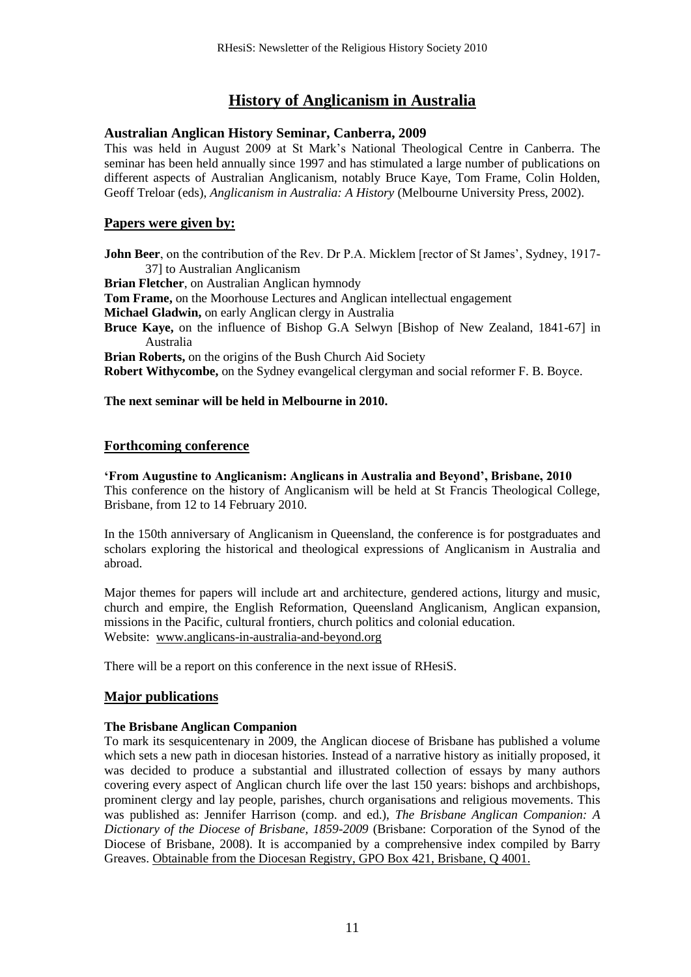# **History of Anglicanism in Australia**

### **Australian Anglican History Seminar, Canberra, 2009**

This was held in August 2009 at St Mark's National Theological Centre in Canberra. The seminar has been held annually since 1997 and has stimulated a large number of publications on different aspects of Australian Anglicanism, notably Bruce Kaye, Tom Frame, Colin Holden, Geoff Treloar (eds), *Anglicanism in Australia: A History* (Melbourne University Press, 2002).

### **Papers were given by:**

**John Beer**, on the contribution of the Rev. Dr P.A. Micklem [rector of St James', Sydney, 1917- 37] to Australian Anglicanism **Brian Fletcher**, on Australian Anglican hymnody **Tom Frame,** on the Moorhouse Lectures and Anglican intellectual engagement **Michael Gladwin,** on early Anglican clergy in Australia **Bruce Kaye,** on the influence of Bishop G.A Selwyn [Bishop of New Zealand, 1841-67] in Australia **Brian Roberts,** on the origins of the Bush Church Aid Society **Robert Withycombe,** on the Sydney evangelical clergyman and social reformer F. B. Boyce.

### **The next seminar will be held in Melbourne in 2010.**

### **Forthcoming conference**

#### **'From Augustine to Anglicanism: Anglicans in Australia and Beyond', Brisbane, 2010** This conference on the history of Anglicanism will be held at St Francis Theological College, Brisbane, from 12 to 14 February 2010.

In the 150th anniversary of Anglicanism in Queensland, the conference is for postgraduates and scholars exploring the historical and theological expressions of Anglicanism in Australia and abroad.

Major themes for papers will include art and architecture, gendered actions, liturgy and music, church and empire, the English Reformation, Queensland Anglicanism, Anglican expansion, missions in the Pacific, cultural frontiers, church politics and colonial education. Website: [www.anglicans-in-australia-and-beyond.org](http://www.anglicans-in-australia-and-beyond.org/)

There will be a report on this conference in the next issue of RHesiS.

### **Major publications**

### **The Brisbane Anglican Companion**

To mark its sesquicentenary in 2009, the Anglican diocese of Brisbane has published a volume which sets a new path in diocesan histories. Instead of a narrative history as initially proposed, it was decided to produce a substantial and illustrated collection of essays by many authors covering every aspect of Anglican church life over the last 150 years: bishops and archbishops, prominent clergy and lay people, parishes, church organisations and religious movements. This was published as: Jennifer Harrison (comp. and ed.), *The Brisbane Anglican Companion: A Dictionary of the Diocese of Brisbane, 1859-2009* (Brisbane: Corporation of the Synod of the Diocese of Brisbane, 2008). It is accompanied by a comprehensive index compiled by Barry Greaves. Obtainable from the Diocesan Registry, GPO Box 421, Brisbane, Q 4001.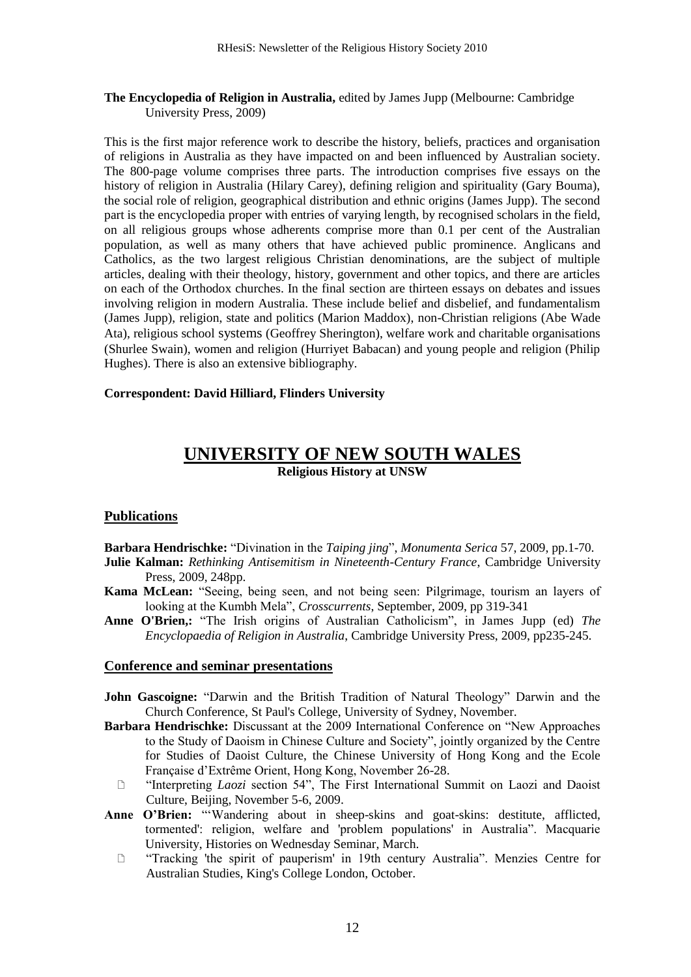#### **The Encyclopedia of Religion in Australia,** edited by James Jupp (Melbourne: Cambridge University Press, 2009)

This is the first major reference work to describe the history, beliefs, practices and organisation of religions in Australia as they have impacted on and been influenced by Australian society. The 800-page volume comprises three parts. The introduction comprises five essays on the history of religion in Australia (Hilary Carey), defining religion and spirituality (Gary Bouma), the social role of religion, geographical distribution and ethnic origins (James Jupp). The second part is the encyclopedia proper with entries of varying length, by recognised scholars in the field, on all religious groups whose adherents comprise more than 0.1 per cent of the Australian population, as well as many others that have achieved public prominence. Anglicans and Catholics, as the two largest religious Christian denominations, are the subject of multiple articles, dealing with their theology, history, government and other topics, and there are articles on each of the Orthodox churches. In the final section are thirteen essays on debates and issues involving religion in modern Australia. These include belief and disbelief, and fundamentalism (James Jupp), religion, state and politics (Marion Maddox), non-Christian religions (Abe Wade Ata), religious school systems (Geoffrey Sherington), welfare work and charitable organisations (Shurlee Swain), women and religion (Hurriyet Babacan) and young people and religion (Philip Hughes). There is also an extensive bibliography.

#### **Correspondent: David Hilliard, Flinders University**

### **UNIVERSITY OF NEW SOUTH WALES Religious History at UNSW**

### **Publications**

Barbara Hendrischke: "Divination in the *Taiping jing*", *Monumenta Serica* 57, 2009, pp.1-70.

- **Julie Kalman:** *Rethinking Antisemitism in Nineteenth-Century France*, Cambridge University Press, 2009, 248pp.
- **Kama McLean:** "Seeing, being seen, and not being seen: Pilgrimage, tourism an layers of looking at the Kumbh Mela", *Crosscurrents*, September, 2009, pp 319-341
- Anne O'Brien,: "The Irish origins of Australian Catholicism", in James Jupp (ed) The *Encyclopaedia of Religion in Australia*, Cambridge University Press, 2009, pp235-245.

#### **Conference and seminar presentations**

- **John Gascoigne:** "Darwin and the British Tradition of Natural Theology" Darwin and the Church Conference, St Paul's College, University of Sydney, November.
- **Barbara Hendrischke:** Discussant at the 2009 International Conference on "New Approaches" to the Study of Daoism in Chinese Culture and Society", jointly organized by the Centre for Studies of Daoist Culture, the Chinese University of Hong Kong and the Ecole Française d'Extrême Orient, Hong Kong, November 26-28.
	- □ "Interpreting *Laozi* section 54", The First International Summit on Laozi and Daoist Culture, Beijing, November 5-6, 2009.
- Anne O'Brien: "Wandering about in sheep-skins and goat-skins: destitute, afflicted, tormented': religion, welfare and 'problem populations' in Australia". Macquarie University, Histories on Wednesday Seminar, March.
	- ―Tracking 'the spirit of pauperism' in 19th century Australia‖. Menzies Centre for Australian Studies, King's College London, October.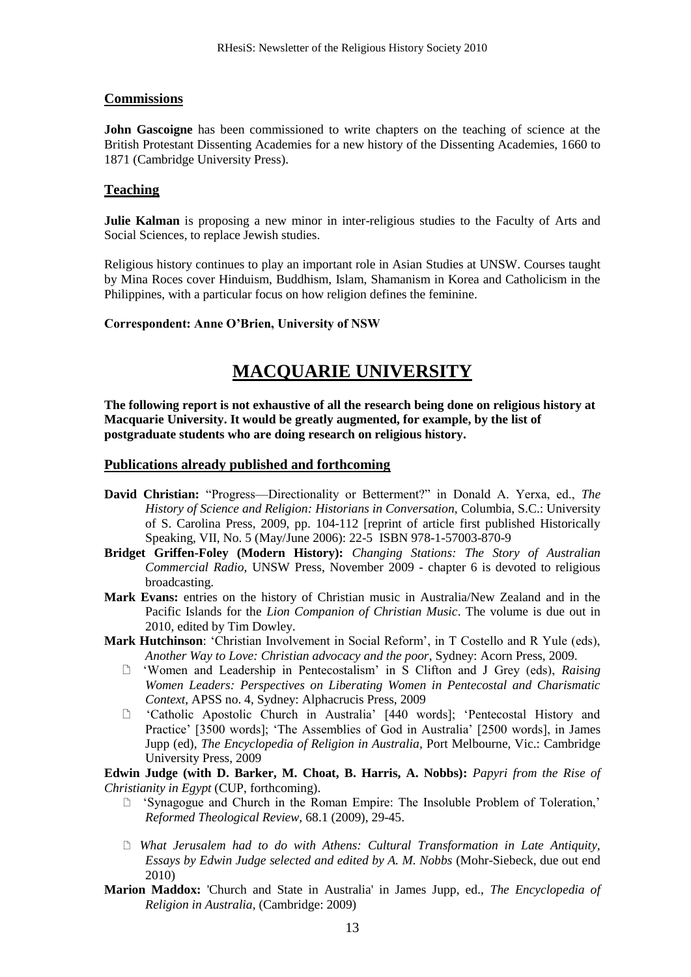#### **Commissions**

**John Gascoigne** has been commissioned to write chapters on the teaching of science at the British Protestant Dissenting Academies for a new history of the Dissenting Academies, 1660 to 1871 (Cambridge University Press).

#### **Teaching**

**Julie Kalman** is proposing a new minor in inter-religious studies to the Faculty of Arts and Social Sciences, to replace Jewish studies.

Religious history continues to play an important role in Asian Studies at UNSW. Courses taught by Mina Roces cover Hinduism, Buddhism, Islam, Shamanism in Korea and Catholicism in the Philippines, with a particular focus on how religion defines the feminine.

#### **Correspondent: Anne O'Brien, University of NSW**

# **MACQUARIE UNIVERSITY**

**The following report is not exhaustive of all the research being done on religious history at Macquarie University. It would be greatly augmented, for example, by the list of postgraduate students who are doing research on religious history.** 

#### **Publications already published and forthcoming**

- David Christian: "Progress--Directionality or Betterment?" in Donald A. Yerxa, ed., The *History of Science and Religion: Historians in Conversation,* Columbia, S.C.: University of S. Carolina Press, 2009, pp. 104-112 [reprint of article first published Historically Speaking, VII, No. 5 (May/June 2006): 22-5 ISBN 978-1-57003-870-9
- **Bridget Griffen-Foley (Modern History):** *Changing Stations: The Story of Australian Commercial Radio,* UNSW Press, November 2009 - chapter 6 is devoted to religious broadcasting.
- **Mark Evans:** entries on the history of Christian music in Australia/New Zealand and in the Pacific Islands for the *Lion Companion of Christian Music*. The volume is due out in 2010, edited by Tim Dowley.
- **Mark Hutchinson**: ‗Christian Involvement in Social Reform', in T Costello and R Yule (eds), *Another Way to Love: Christian advocacy and the poor*, Sydney: Acorn Press, 2009.
	- ‗Women and Leadership in Pentecostalism' in S Clifton and J Grey (eds), *Raising Women Leaders: Perspectives on Liberating Women in Pentecostal and Charismatic Context*, APSS no. 4, Sydney: Alphacrucis Press, 2009
	- ‗Catholic Apostolic Church in Australia' [440 words]; ‗Pentecostal History and Practice' [3500 words]; 'The Assemblies of God in Australia' [2500 words], in James Jupp (ed), *The Encyclopedia of Religion in Australia,* Port Melbourne, Vic.: Cambridge University Press, 2009

**Edwin Judge (with D. Barker, M. Choat, B. Harris, A. Nobbs):** *Papyri from the Rise of Christianity in Egypt* (CUP, forthcoming).

- ‗Synagogue and Church in the Roman Empire: The Insoluble Problem of Toleration,' *Reformed Theological Review,* 68.1 (2009), 29-45.
- *What Jerusalem had to do with Athens: Cultural Transformation in Late Antiquity, Essays by Edwin Judge selected and edited by A. M. Nobbs* (Mohr-Siebeck, due out end 2010)
- **Marion Maddox:** 'Church and State in Australia' in James Jupp, ed., *The Encyclopedia of Religion in Australia*, (Cambridge: 2009)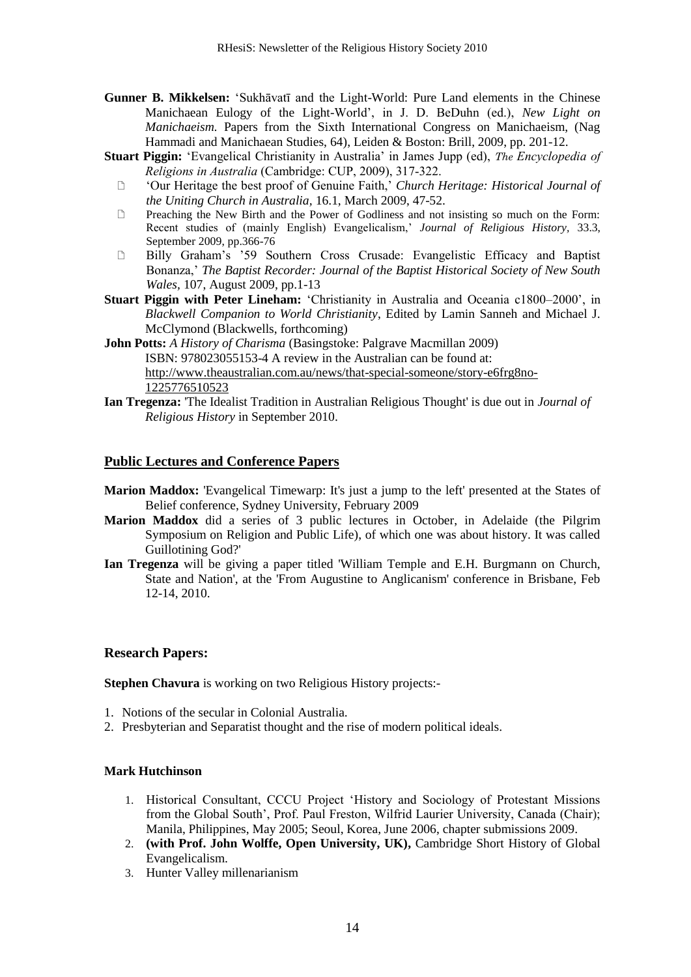- **Gunner B. Mikkelsen:** ‗Sukhāvatī and the Light-World: Pure Land elements in the Chinese Manichaean Eulogy of the Light-World', in J. D. BeDuhn (ed.), *New Light on Manichaeism.* Papers from the Sixth International Congress on Manichaeism, (Nag Hammadi and Manichaean Studies, 64), Leiden & Boston: Brill, 2009, pp. 201-12.
- **Stuart Piggin:** 'Evangelical Christianity in Australia' in James Jupp (ed), *The Encyclopedia of Religions in Australia* (Cambridge: CUP, 2009), 317-322.
	- ‗Our Heritage the best proof of Genuine Faith,' *Church Heritage: Historical Journal of the Uniting Church in Australia,* 16.1, March 2009, 47-52.
	- $\Box$  Preaching the New Birth and the Power of Godliness and not insisting so much on the Form: Recent studies of (mainly English) Evangelicalism,' *Journal of Religious History,* 33.3, September 2009, pp.366-76
	- Billy Graham's '59 Southern Cross Crusade: Evangelistic Efficacy and Baptist Bonanza,' *The Baptist Recorder: Journal of the Baptist Historical Society of New South Wales,* 107, August 2009, pp.1-13
- **Stuart Piggin with Peter Lineham:** 'Christianity in Australia and Oceania c1800–2000', in *Blackwell Companion to World Christianity*, Edited by Lamin Sanneh and Michael J. McClymond (Blackwells, forthcoming)
- **John Potts:** *A History of Charisma* (Basingstoke: Palgrave Macmillan 2009) ISBN: 978023055153-4 A review in the Australian can be found at: [http://www.theaustralian.com.au/news/that-special-someone/story-e6frg8no-](http://www.theaustralian.com.au/news/that-special-someone/story-e6frg8no-1225776510523)[1225776510523](http://www.theaustralian.com.au/news/that-special-someone/story-e6frg8no-1225776510523)
- **Ian Tregenza:** 'The Idealist Tradition in Australian Religious Thought' is due out in *Journal of Religious History* in September 2010.

#### **Public Lectures and Conference Papers**

- **Marion Maddox:** 'Evangelical Timewarp: It's just a jump to the left' presented at the States of Belief conference, Sydney University, February 2009
- **Marion Maddox** did a series of 3 public lectures in October, in Adelaide (the Pilgrim Symposium on Religion and Public Life), of which one was about history. It was called Guillotining God?'
- **Ian Tregenza** will be giving a paper titled 'William Temple and E.H. Burgmann on Church, State and Nation', at the 'From Augustine to Anglicanism' conference in Brisbane, Feb 12-14, 2010.

#### **Research Papers:**

**Stephen Chavura** is working on two Religious History projects:-

- 1. Notions of the secular in Colonial Australia.
- 2. Presbyterian and Separatist thought and the rise of modern political ideals.

#### **Mark Hutchinson**

- 1. Historical Consultant, CCCU Project ‗History and Sociology of Protestant Missions from the Global South', Prof. Paul Freston, Wilfrid Laurier University, Canada (Chair); Manila, Philippines, May 2005; Seoul, Korea, June 2006, chapter submissions 2009.
- 2. **(with Prof. John Wolffe, Open University, UK),** Cambridge Short History of Global Evangelicalism.
- 3. Hunter Valley millenarianism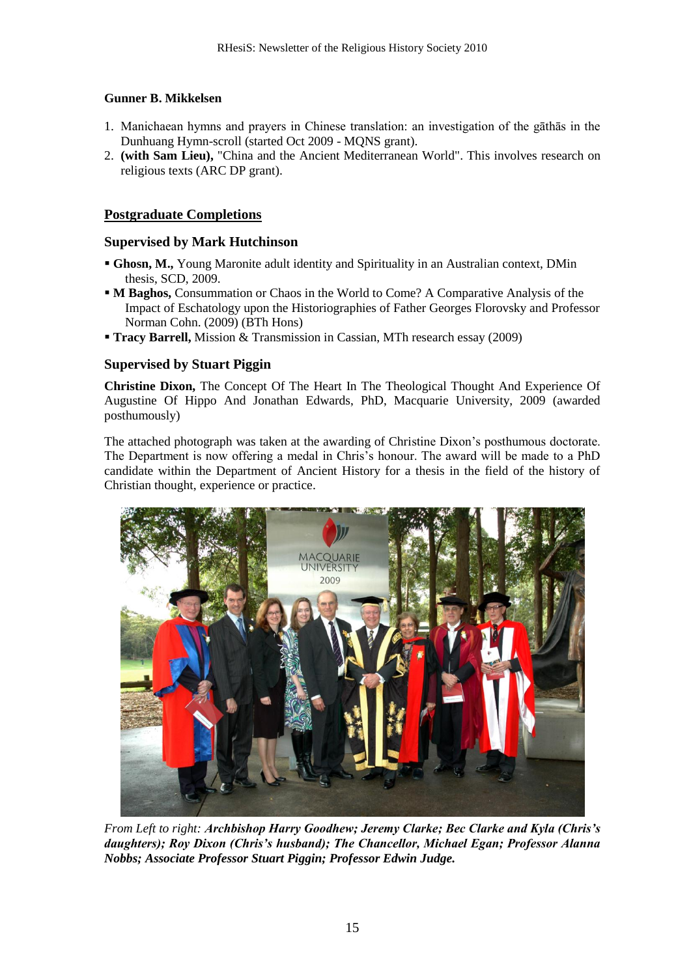### **Gunner B. Mikkelsen**

- 1. Manichaean hymns and prayers in Chinese translation: an investigation of the gāthās in the Dunhuang Hymn-scroll (started Oct 2009 - MQNS grant).
- 2. **(with Sam Lieu),** "China and the Ancient Mediterranean World". This involves research on religious texts (ARC DP grant).

### **Postgraduate Completions**

#### **Supervised by Mark Hutchinson**

- **Ghosn, M.,** Young Maronite adult identity and Spirituality in an Australian context, DMin thesis, SCD, 2009.
- **M Baghos,** Consummation or Chaos in the World to Come? A Comparative Analysis of the Impact of Eschatology upon the Historiographies of Father Georges Florovsky and Professor Norman Cohn. (2009) (BTh Hons)
- **Tracy Barrell,** Mission & Transmission in Cassian, MTh research essay (2009)

### **Supervised by Stuart Piggin**

**Christine Dixon,** The Concept Of The Heart In The Theological Thought And Experience Of Augustine Of Hippo And Jonathan Edwards, PhD, Macquarie University, 2009 (awarded posthumously)

The attached photograph was taken at the awarding of Christine Dixon's posthumous doctorate. The Department is now offering a medal in Chris's honour. The award will be made to a PhD candidate within the Department of Ancient History for a thesis in the field of the history of Christian thought, experience or practice.



*From Left to right: Archbishop Harry Goodhew; Jeremy Clarke; Bec Clarke and Kyla (Chris's daughters); Roy Dixon (Chris's husband); The Chancellor, Michael Egan; Professor Alanna Nobbs; Associate Professor Stuart Piggin; Professor Edwin Judge.*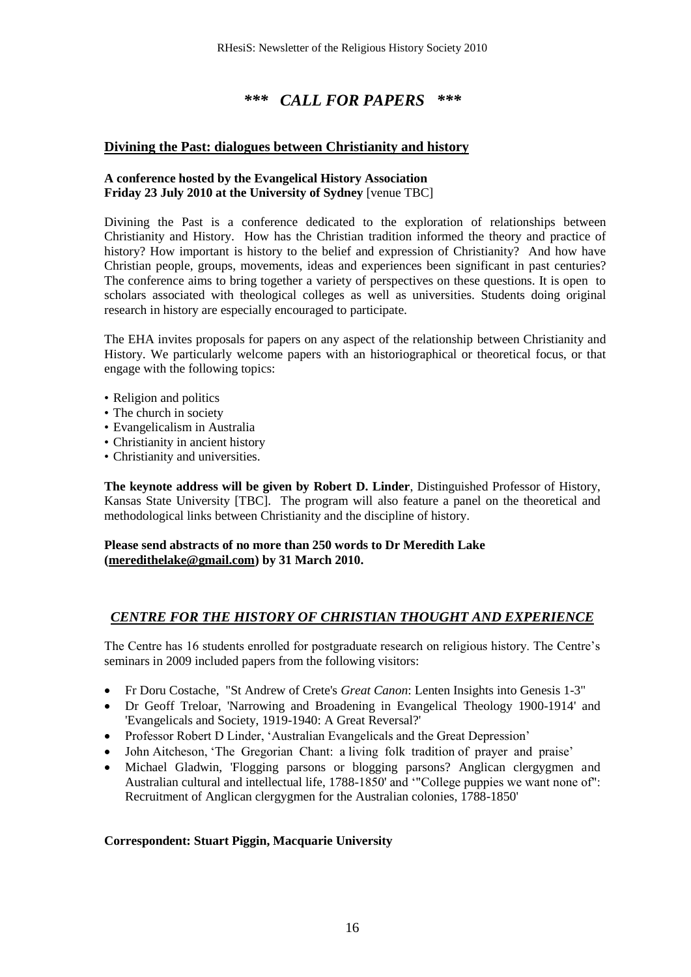### *\*\*\* CALL FOR PAPERS \*\*\**

### **Divining the Past: dialogues between Christianity and history**

#### **A conference hosted by the Evangelical History Association Friday 23 July 2010 at the University of Sydney** [venue TBC]

Divining the Past is a conference dedicated to the exploration of relationships between Christianity and History. How has the Christian tradition informed the theory and practice of history? How important is history to the belief and expression of Christianity? And how have Christian people, groups, movements, ideas and experiences been significant in past centuries? The conference aims to bring together a variety of perspectives on these questions. It is open to scholars associated with theological colleges as well as universities. Students doing original research in history are especially encouraged to participate.

The EHA invites proposals for papers on any aspect of the relationship between Christianity and History. We particularly welcome papers with an historiographical or theoretical focus, or that engage with the following topics:

- Religion and politics
- The church in society
- Evangelicalism in Australia
- Christianity in ancient history
- Christianity and universities.

**The keynote address will be given by Robert D. Linder**, Distinguished Professor of History, Kansas State University [TBC]. The program will also feature a panel on the theoretical and methodological links between Christianity and the discipline of history.

#### **Please send abstracts of no more than 250 words to Dr Meredith Lake (meredithelake@gmail.com) by 31 March 2010.**

### *CENTRE FOR THE HISTORY OF CHRISTIAN THOUGHT AND EXPERIENCE*

The Centre has 16 students enrolled for postgraduate research on religious history. The Centre's seminars in 2009 included papers from the following visitors:

- Fr Doru Costache, "St Andrew of Crete's *Great Canon*: Lenten Insights into Genesis 1-3"
- Dr Geoff Treloar, 'Narrowing and Broadening in Evangelical Theology 1900-1914' and 'Evangelicals and Society, 1919-1940: A Great Reversal?'
- Professor Robert D Linder, 'Australian Evangelicals and the Great Depression'
- John Aitcheson, 'The Gregorian Chant: a living folk tradition of prayer and praise'
- Michael Gladwin, 'Flogging parsons or blogging parsons? Anglican clergygmen and Australian cultural and intellectual life, 1788-1850' and "College puppies we want none of": Recruitment of Anglican clergygmen for the Australian colonies, 1788-1850'

#### **Correspondent: Stuart Piggin, Macquarie University**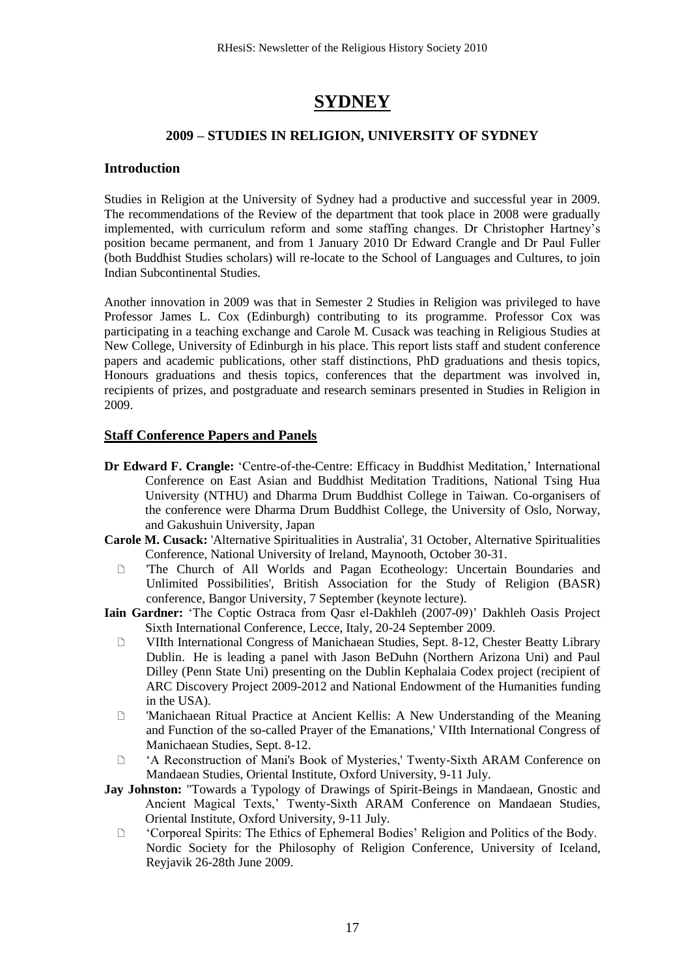# **SYDNEY**

### **2009 – STUDIES IN RELIGION, UNIVERSITY OF SYDNEY**

### **Introduction**

Studies in Religion at the University of Sydney had a productive and successful year in 2009. The recommendations of the Review of the department that took place in 2008 were gradually implemented, with curriculum reform and some staffing changes. Dr Christopher Hartney's position became permanent, and from 1 January 2010 Dr Edward Crangle and Dr Paul Fuller (both Buddhist Studies scholars) will re-locate to the School of Languages and Cultures, to join Indian Subcontinental Studies.

Another innovation in 2009 was that in Semester 2 Studies in Religion was privileged to have Professor James L. Cox (Edinburgh) contributing to its programme. Professor Cox was participating in a teaching exchange and Carole M. Cusack was teaching in Religious Studies at New College, University of Edinburgh in his place. This report lists staff and student conference papers and academic publications, other staff distinctions, PhD graduations and thesis topics, Honours graduations and thesis topics, conferences that the department was involved in, recipients of prizes, and postgraduate and research seminars presented in Studies in Religion in 2009.

### **Staff Conference Papers and Panels**

- **Dr Edward F. Crangle:** ‗Centre-of-the-Centre: Efficacy in Buddhist Meditation,' International Conference on East Asian and Buddhist Meditation Traditions, National Tsing Hua University (NTHU) and Dharma Drum Buddhist College in Taiwan. Co-organisers of the conference were Dharma Drum Buddhist College, the University of Oslo, Norway, and Gakushuin University, Japan
- **Carole M. Cusack:** 'Alternative Spiritualities in Australia', 31 October, Alternative Spiritualities Conference, National University of Ireland, Maynooth, October 30-31.
	- 'The Church of All Worlds and Pagan Ecotheology: Uncertain Boundaries and Unlimited Possibilities', British Association for the Study of Religion (BASR) conference, Bangor University, 7 September (keynote lecture).
- Iain Gardner: 'The Coptic Ostraca from Qasr el-Dakhleh (2007-09)' Dakhleh Oasis Project Sixth International Conference, Lecce, Italy, 20-24 September 2009.
	- VIIth International Congress of Manichaean Studies, Sept. 8-12, Chester Beatty Library Dublin. He is leading a panel with Jason BeDuhn (Northern Arizona Uni) and Paul Dilley (Penn State Uni) presenting on the Dublin Kephalaia Codex project (recipient of ARC Discovery Project 2009-2012 and National Endowment of the Humanities funding in the USA).
	- 'Manichaean Ritual Practice at Ancient Kellis: A New Understanding of the Meaning and Function of the so-called Prayer of the Emanations,' VIIth International Congress of Manichaean Studies, Sept. 8-12.
	- <sup>2</sup>A Reconstruction of Mani's Book of Mysteries,' Twenty-Sixth ARAM Conference on Mandaean Studies, Oriental Institute, Oxford University, 9-11 July.
- **Jay Johnston:** "Towards a Typology of Drawings of Spirit-Beings in Mandaean, Gnostic and Ancient Magical Texts,' Twenty-Sixth ARAM Conference on Mandaean Studies, Oriental Institute, Oxford University, 9-11 July.
	- ‗Corporeal Spirits: The Ethics of Ephemeral Bodies' Religion and Politics of the Body. Nordic Society for the Philosophy of Religion Conference, University of Iceland, Reyjavik 26-28th June 2009.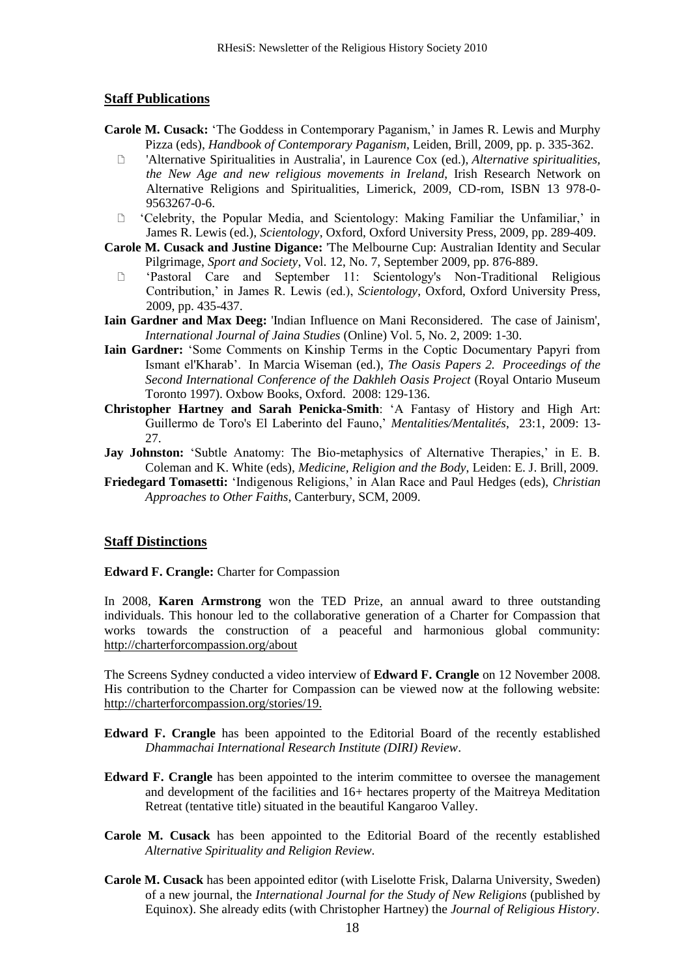#### **Staff Publications**

- **Carole M. Cusack:** ‗The Goddess in Contemporary Paganism,' in James R. Lewis and Murphy Pizza (eds), *Handbook of Contemporary Paganism*, Leiden, Brill, 2009, pp. p. 335-362.
	- 'Alternative Spiritualities in Australia', in Laurence Cox (ed.), *Alternative spiritualities, the New Age and new religious movements in Ireland*, Irish Research Network on Alternative Religions and Spiritualities, Limerick, 2009, CD-rom, ISBN 13 978-0- 9563267-0-6.
	- ‗Celebrity, the Popular Media, and Scientology: Making Familiar the Unfamiliar,' in James R. Lewis (ed.), *Scientology*, Oxford, Oxford University Press, 2009, pp. 289-409.
- **Carole M. Cusack and Justine Digance:** 'The Melbourne Cup: Australian Identity and Secular Pilgrimage, *Sport and Society*, Vol. 12, No. 7, September 2009, pp. 876-889.
	- ‗Pastoral Care and September 11: Scientology's Non-Traditional Religious Contribution,' in James R. Lewis (ed.), *Scientology*, Oxford, Oxford University Press, 2009, pp. 435-437.
- **Iain Gardner and Max Deeg:** 'Indian Influence on Mani Reconsidered. The case of Jainism', *International Journal of Jaina Studies* (Online) Vol. 5, No. 2, 2009: 1-30.
- **Iain Gardner:** 'Some Comments on Kinship Terms in the Coptic Documentary Papyri from Ismant el'Kharab'. In Marcia Wiseman (ed.), *The Oasis Papers 2. Proceedings of the Second International Conference of the Dakhleh Oasis Project* (Royal Ontario Museum Toronto 1997). Oxbow Books, Oxford. 2008: 129-136.
- **Christopher Hartney and Sarah Penicka-Smith**: ‗A Fantasy of History and High Art: Guillermo de Toro's El Laberinto del Fauno,' *Mentalities/Mentalités*, 23:1, 2009: 13- 27.
- **Jay Johnston:** 'Subtle Anatomy: The Bio-metaphysics of Alternative Therapies,' in E. B. Coleman and K. White (eds), *Medicine, Religion and the Body*, Leiden: E. J. Brill, 2009.
- Friedegard Tomasetti: 'Indigenous Religions,' in Alan Race and Paul Hedges (eds), *Christian Approaches to Other Faiths*, Canterbury, SCM, 2009.

#### **Staff Distinctions**

**Edward F. Crangle:** Charter for Compassion

In 2008, **Karen Armstrong** won the TED Prize, an annual award to three outstanding individuals. This honour led to the collaborative generation of a Charter for Compassion that works towards the construction of a peaceful and harmonious global community: <http://charterforcompassion.org/about>

The Screens Sydney conducted a video interview of **Edward F. Crangle** on 12 November 2008. His contribution to the Charter for Compassion can be viewed now at the following website: [http://charterforcompassion.org/stories/19.](http://charterforcompassion.org/stories/19)

- **Edward F. Crangle** has been appointed to the Editorial Board of the recently established *Dhammachai International Research Institute (DIRI) Review*.
- **Edward F. Crangle** has been appointed to the interim committee to oversee the management and development of the facilities and 16+ hectares property of the Maitreya Meditation Retreat (tentative title) situated in the beautiful Kangaroo Valley.
- **Carole M. Cusack** has been appointed to the Editorial Board of the recently established *Alternative Spirituality and Religion Review*.
- **Carole M. Cusack** has been appointed editor (with Liselotte Frisk, Dalarna University, Sweden) of a new journal, the *International Journal for the Study of New Religions* (published by Equinox). She already edits (with Christopher Hartney) the *Journal of Religious History*.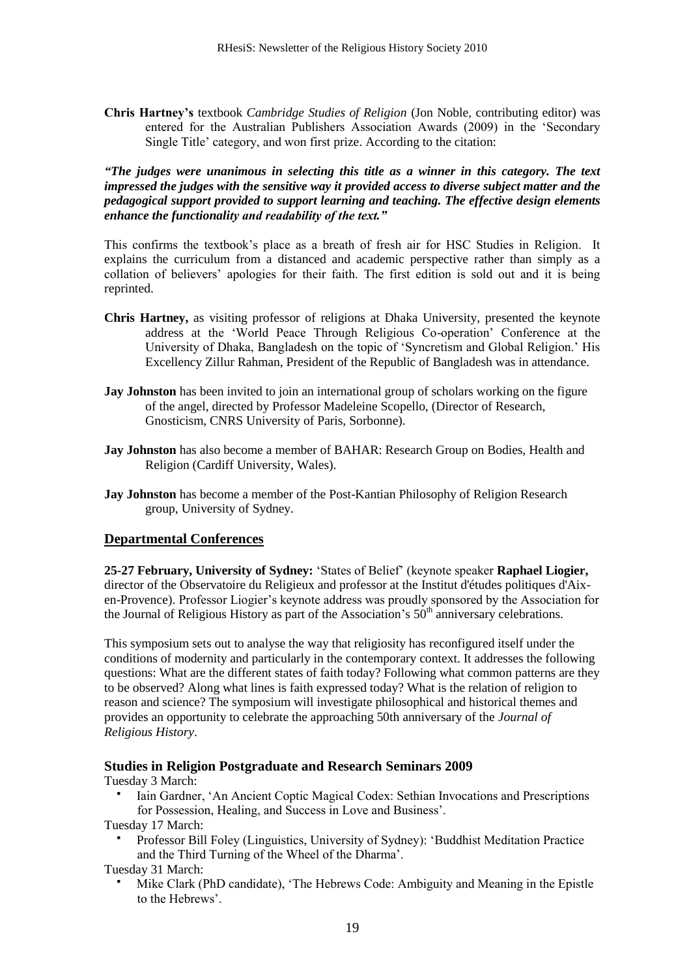**Chris Hartney's** textbook *Cambridge Studies of Religion* (Jon Noble, contributing editor) was entered for the Australian Publishers Association Awards (2009) in the 'Secondary Single Title' category, and won first prize. According to the citation:

*"The judges were unanimous in selecting this title as a winner in this category. The text impressed the judges with the sensitive way it provided access to diverse subject matter and the pedagogical support provided to support learning and teaching. The effective design elements enhance the functionality and readability of the text."*

This confirms the textbook's place as a breath of fresh air for HSC Studies in Religion. It explains the curriculum from a distanced and academic perspective rather than simply as a collation of believers' apologies for their faith. The first edition is sold out and it is being reprinted.

- **Chris Hartney,** as visiting professor of religions at Dhaka University, presented the keynote address at the 'World Peace Through Religious Co-operation' Conference at the University of Dhaka, Bangladesh on the topic of ‗Syncretism and Global Religion.' His Excellency Zillur Rahman, President of the Republic of Bangladesh was in attendance.
- **Jay Johnston** has been invited to join an international group of scholars working on the figure of the angel, directed by Professor Madeleine Scopello, (Director of Research, Gnosticism, CNRS University of Paris, Sorbonne).
- **Jay Johnston** has also become a member of BAHAR: Research Group on Bodies, Health and Religion (Cardiff University, Wales).
- **Jay Johnston** has become a member of the Post-Kantian Philosophy of Religion Research group, University of Sydney.

### **Departmental Conferences**

**25-27 February, University of Sydney:** ‗States of Belief' (keynote speaker **Raphael Liogier,** director of the Observatoire du Religieux and professor at the [Institut d'études politiques d'Aix](http://en.wikipedia.org/wiki/Institut_d%27%C3%A9tudes_politiques_d%27Aix-en-Provence)[en-Provence\)](http://en.wikipedia.org/wiki/Institut_d%27%C3%A9tudes_politiques_d%27Aix-en-Provence). Professor Liogier's keynote address was proudly sponsored by the Association for the Journal of Religious History as part of the Association's  $50<sup>th</sup>$  anniversary celebrations.

This symposium sets out to analyse the way that religiosity has reconfigured itself under the conditions of modernity and particularly in the contemporary context. It addresses the following questions: What are the different states of faith today? Following what common patterns are they to be observed? Along what lines is faith expressed today? What is the relation of religion to reason and science? The symposium will investigate philosophical and historical themes and provides an opportunity to celebrate the approaching 50th anniversary of the *Journal of Religious History*.

#### **Studies in Religion Postgraduate and Research Seminars 2009**

Tuesday 3 March:

 Iain Gardner, ‗An Ancient Coptic Magical Codex: Sethian Invocations and Prescriptions for Possession, Healing, and Success in Love and Business'.

Tuesday 17 March:

Professor Bill Foley (Linguistics, University of Sydney): 'Buddhist Meditation Practice and the Third Turning of the Wheel of the Dharma'.

Tuesday 31 March:

Mike Clark (PhD candidate), 'The Hebrews Code: Ambiguity and Meaning in the Epistle to the Hebrews'.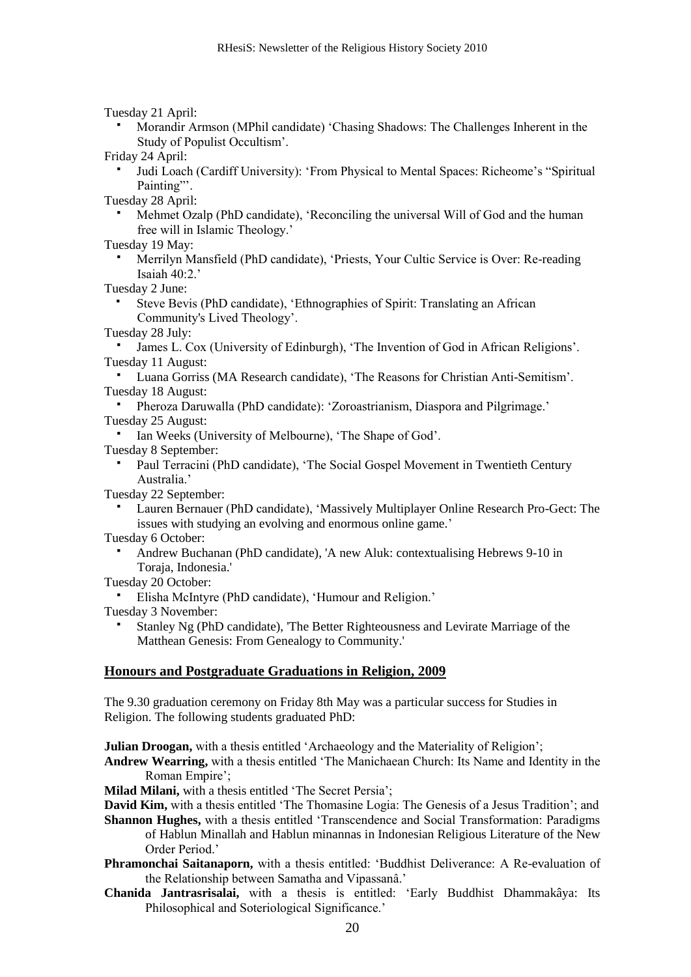Tuesday 21 April:

 Morandir Armson (MPhil candidate) ‗Chasing Shadows: The Challenges Inherent in the Study of Populist Occultism'.

Friday 24 April:

Judi Loach (Cardiff University): 'From Physical to Mental Spaces: Richeome's "Spiritual Painting".

Tuesday 28 April:

Mehmet Ozalp (PhD candidate), 'Reconciling the universal Will of God and the human free will in Islamic Theology.'

Tuesday 19 May:

Merrilyn Mansfield (PhD candidate), 'Priests, Your Cultic Service is Over: Re-reading Isaiah 40:2.'

Tuesday 2 June:

- Steve Bevis (PhD candidate), 'Ethnographies of Spirit: Translating an African Community's Lived Theology'.
- Tuesday 28 July:

 James L. Cox (University of Edinburgh), ‗The Invention of God in African Religions'. Tuesday 11 August:

 Luana Gorriss (MA Research candidate), ‗The Reasons for Christian Anti-Semitism'. Tuesday 18 August:

 Pheroza Daruwalla (PhD candidate): ‗Zoroastrianism, Diaspora and Pilgrimage.' Tuesday 25 August:

Ian Weeks (University of Melbourne), 'The Shape of God'.

Tuesday 8 September:

Paul Terracini (PhD candidate), 'The Social Gospel Movement in Twentieth Century Australia.'

Tuesday 22 September:

Lauren Bernauer (PhD candidate), 'Massively Multiplayer Online Research Pro-Gect: The issues with studying an evolving and enormous online game.'

Tuesday 6 October:

- Andrew Buchanan (PhD candidate), 'A new Aluk: contextualising Hebrews 9-10 in Toraja, Indonesia.'
- Tuesday 20 October:
- Elisha McIntyre (PhD candidate), ‗Humour and Religion.'

Tuesday 3 November:

 Stanley Ng (PhD candidate), 'The Better Righteousness and Levirate Marriage of the Matthean Genesis: From Genealogy to Community.'

### **Honours and Postgraduate Graduations in Religion, 2009**

The 9.30 graduation ceremony on Friday 8th May was a particular success for Studies in Religion. The following students graduated PhD:

**Julian Droogan,** with a thesis entitled 'Archaeology and the Materiality of Religion';

**Andrew Wearring,** with a thesis entitled 'The Manichaean Church: Its Name and Identity in the Roman Empire';

**Milad Milani,** with a thesis entitled 'The Secret Persia';

**David Kim,** with a thesis entitled 'The Thomasine Logia: The Genesis of a Jesus Tradition'; and **Shannon Hughes,** with a thesis entitled 'Transcendence and Social Transformation: Paradigms

of Hablun Minallah and Hablun minannas in Indonesian Religious Literature of the New Order Period.'

- **Phramonchai Saitanaporn,** with a thesis entitled: 'Buddhist Deliverance: A Re-evaluation of the Relationship between Samatha and Vipassanâ.'
- **Chanida Jantrasrisalai,** with a thesis is entitled: ‗Early Buddhist Dhammakâya: Its Philosophical and Soteriological Significance.'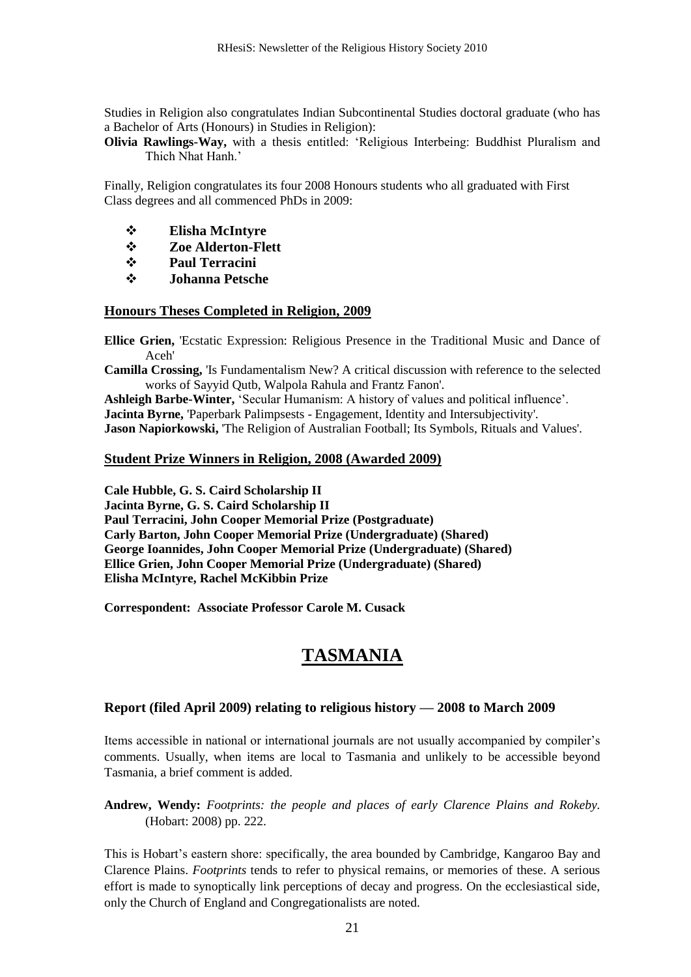Studies in Religion also congratulates Indian Subcontinental Studies doctoral graduate (who has a Bachelor of Arts (Honours) in Studies in Religion):

**Olivia Rawlings-Way,** with a thesis entitled: 'Religious Interbeing: Buddhist Pluralism and Thich Nhat Hanh.'

Finally, Religion congratulates its four 2008 Honours students who all graduated with First Class degrees and all commenced PhDs in 2009:

- **Elisha McIntyre**
- **Zoe Alderton-Flett**
- **Paul Terracini**
- **Johanna Petsche**

#### **Honours Theses Completed in Religion, 2009**

**Ellice Grien,** 'Ecstatic Expression: Religious Presence in the Traditional Music and Dance of Aceh'

**Camilla Crossing,** 'Is Fundamentalism New? A critical discussion with reference to the selected works of Sayyid Qutb, Walpola Rahula and Frantz Fanon'.

Ashleigh Barbe-Winter, 'Secular Humanism: A history of values and political influence'. **Jacinta Byrne,** 'Paperbark Palimpsests - Engagement, Identity and Intersubjectivity'. **Jason Napiorkowski,** 'The Religion of Australian Football; Its Symbols, Rituals and Values'.

#### **Student Prize Winners in Religion, 2008 (Awarded 2009)**

**Cale Hubble, G. S. Caird Scholarship II Jacinta Byrne, G. S. Caird Scholarship II Paul Terracini, John Cooper Memorial Prize (Postgraduate) Carly Barton, John Cooper Memorial Prize (Undergraduate) (Shared) George Ioannides, John Cooper Memorial Prize (Undergraduate) (Shared) Ellice Grien, John Cooper Memorial Prize (Undergraduate) (Shared) Elisha McIntyre, Rachel McKibbin Prize**

**Correspondent: Associate Professor Carole M. Cusack**

# **TASMANIA**

### **Report (filed April 2009) relating to religious history — 2008 to March 2009**

Items accessible in national or international journals are not usually accompanied by compiler's comments. Usually, when items are local to Tasmania and unlikely to be accessible beyond Tasmania, a brief comment is added.

**Andrew, Wendy:** *Footprints: the people and places of early Clarence Plains and Rokeby.* (Hobart: 2008) pp. 222.

This is Hobart's eastern shore: specifically, the area bounded by Cambridge, Kangaroo Bay and Clarence Plains. *Footprints* tends to refer to physical remains, or memories of these. A serious effort is made to synoptically link perceptions of decay and progress. On the ecclesiastical side, only the Church of England and Congregationalists are noted.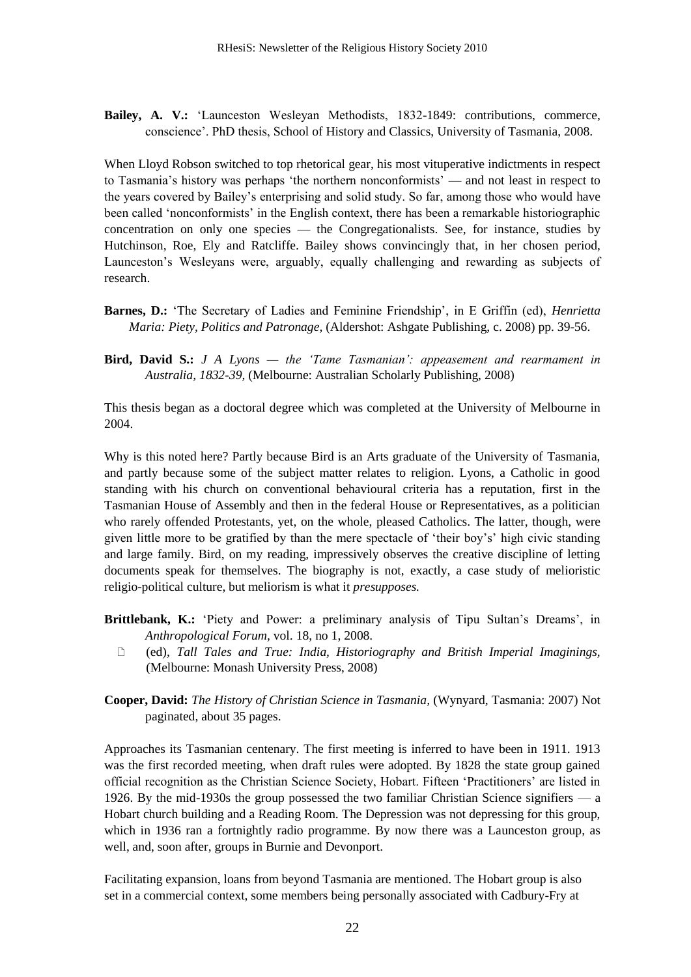**Bailey, A. V.:** ‗Launceston Wesleyan Methodists, 1832-1849: contributions, commerce, conscience'. PhD thesis, School of History and Classics, University of Tasmania, 2008.

When Lloyd Robson switched to top rhetorical gear, his most vituperative indictments in respect to Tasmania's history was perhaps 'the northern nonconformists' — and not least in respect to the years covered by Bailey's enterprising and solid study. So far, among those who would have been called 'nonconformists' in the English context, there has been a remarkable historiographic concentration on only one species — the Congregationalists. See, for instance, studies by Hutchinson, Roe, Ely and Ratcliffe. Bailey shows convincingly that, in her chosen period, Launceston's Wesleyans were, arguably, equally challenging and rewarding as subjects of research.

- **Barnes, D.:** ‗The Secretary of Ladies and Feminine Friendship', in E Griffin (ed), *Henrietta Maria: Piety, Politics and Patronage,* (Aldershot: Ashgate Publishing, c. 2008) pp. 39-56.
- **Bird, David S.:** *J A Lyons — the 'Tame Tasmanian': appeasement and rearmament in Australia, 1832-39,* (Melbourne: Australian Scholarly Publishing, 2008)

This thesis began as a doctoral degree which was completed at the University of Melbourne in 2004.

Why is this noted here? Partly because Bird is an Arts graduate of the University of Tasmania, and partly because some of the subject matter relates to religion. Lyons, a Catholic in good standing with his church on conventional behavioural criteria has a reputation, first in the Tasmanian House of Assembly and then in the federal House or Representatives, as a politician who rarely offended Protestants, yet, on the whole, pleased Catholics. The latter, though, were given little more to be gratified by than the mere spectacle of ‗their boy's' high civic standing and large family. Bird, on my reading, impressively observes the creative discipline of letting documents speak for themselves. The biography is not, exactly, a case study of melioristic religio-political culture, but meliorism is what it *presupposes.*

- Brittlebank, K.: 'Piety and Power: a preliminary analysis of Tipu Sultan's Dreams', in *Anthropological Forum,* vol. 18, no 1, 2008.
	- (ed), *Tall Tales and True: India, Historiography and British Imperial Imaginings,* (Melbourne: Monash University Press, 2008)
- **Cooper, David:** *The History of Christian Science in Tasmania,* (Wynyard, Tasmania: 2007) Not paginated, about 35 pages.

Approaches its Tasmanian centenary. The first meeting is inferred to have been in 1911. 1913 was the first recorded meeting, when draft rules were adopted. By 1828 the state group gained official recognition as the Christian Science Society, Hobart. Fifteen ‗Practitioners' are listed in 1926. By the mid-1930s the group possessed the two familiar Christian Science signifiers — a Hobart church building and a Reading Room. The Depression was not depressing for this group, which in 1936 ran a fortnightly radio programme. By now there was a Launceston group, as well, and, soon after, groups in Burnie and Devonport.

Facilitating expansion, loans from beyond Tasmania are mentioned. The Hobart group is also set in a commercial context, some members being personally associated with Cadbury-Fry at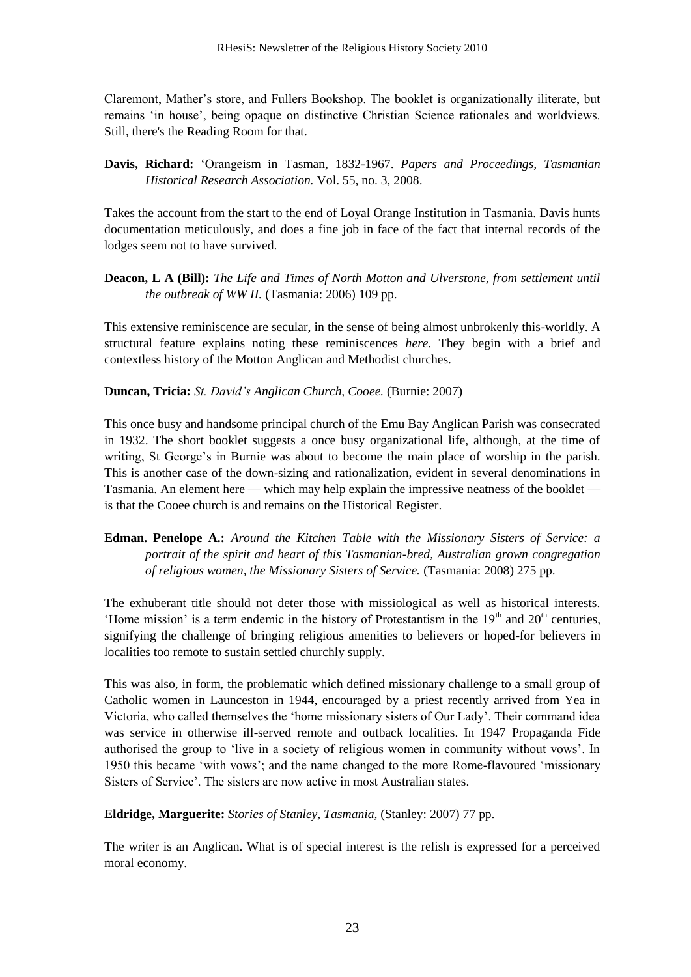Claremont, Mather's store, and Fullers Bookshop. The booklet is organizationally iliterate, but remains ‗in house', being opaque on distinctive Christian Science rationales and worldviews. Still, there's the Reading Room for that.

**Davis, Richard:** ‗Orangeism in Tasman, 1832-1967. *Papers and Proceedings, Tasmanian Historical Research Association.* Vol. 55, no. 3, 2008.

Takes the account from the start to the end of Loyal Orange Institution in Tasmania. Davis hunts documentation meticulously, and does a fine job in face of the fact that internal records of the lodges seem not to have survived.

**Deacon, L A (Bill):** *The Life and Times of North Motton and Ulverstone, from settlement until the outbreak of WW II.* (Tasmania: 2006) 109 pp.

This extensive reminiscence are secular, in the sense of being almost unbrokenly this-worldly. A structural feature explains noting these reminiscences *here.* They begin with a brief and contextless history of the Motton Anglican and Methodist churches.

**Duncan, Tricia:** *St. David's Anglican Church, Cooee.* (Burnie: 2007)

This once busy and handsome principal church of the Emu Bay Anglican Parish was consecrated in 1932. The short booklet suggests a once busy organizational life, although, at the time of writing, St George's in Burnie was about to become the main place of worship in the parish. This is another case of the down-sizing and rationalization, evident in several denominations in Tasmania. An element here — which may help explain the impressive neatness of the booklet is that the Cooee church is and remains on the Historical Register.

### **Edman. Penelope A.:** *Around the Kitchen Table with the Missionary Sisters of Service: a portrait of the spirit and heart of this Tasmanian-bred, Australian grown congregation of religious women, the Missionary Sisters of Service.* (Tasmania: 2008) 275 pp.

The exhuberant title should not deter those with missiological as well as historical interests. 'Home mission' is a term endemic in the history of Protestantism in the  $19<sup>th</sup>$  and  $20<sup>th</sup>$  centuries, signifying the challenge of bringing religious amenities to believers or hoped-for believers in localities too remote to sustain settled churchly supply.

This was also, in form, the problematic which defined missionary challenge to a small group of Catholic women in Launceston in 1944, encouraged by a priest recently arrived from Yea in Victoria, who called themselves the 'home missionary sisters of Our Lady'. Their command idea was service in otherwise ill-served remote and outback localities. In 1947 Propaganda Fide authorised the group to 'live in a society of religious women in community without vows'. In 1950 this became 'with vows'; and the name changed to the more Rome-flavoured 'missionary Sisters of Service'. The sisters are now active in most Australian states.

**Eldridge, Marguerite:** *Stories of Stanley, Tasmania,* (Stanley: 2007) 77 pp.

The writer is an Anglican. What is of special interest is the relish is expressed for a perceived moral economy.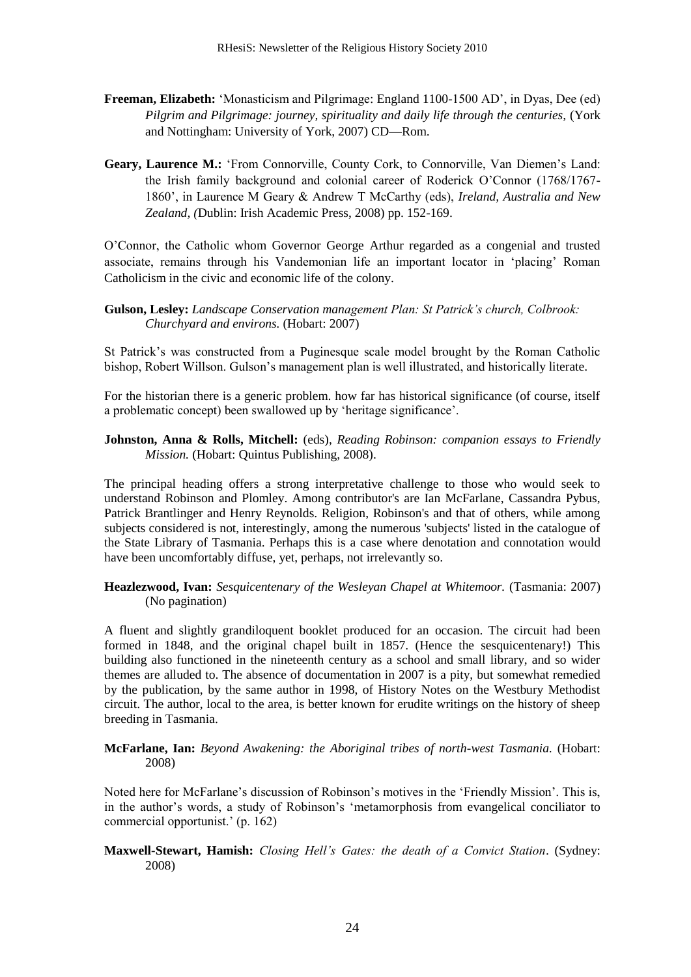- **Freeman, Elizabeth:** 'Monasticism and Pilgrimage: England 1100-1500 AD', in Dyas, Dee (ed) *Pilgrim and Pilgrimage: journey, spirituality and daily life through the centuries,* (York and Nottingham: University of York, 2007) CD—Rom.
- Geary, Laurence M.: 'From Connorville, County Cork, to Connorville, Van Diemen's Land: the Irish family background and colonial career of Roderick O'Connor (1768/1767- 1860', in Laurence M Geary & Andrew T McCarthy (eds), *Ireland, Australia and New Zealand, (*Dublin: Irish Academic Press, 2008) pp. 152-169.

O'Connor, the Catholic whom Governor George Arthur regarded as a congenial and trusted associate, remains through his Vandemonian life an important locator in 'placing' Roman Catholicism in the civic and economic life of the colony.

**Gulson, Lesley:** *Landscape Conservation management Plan: St Patrick's church, Colbrook: Churchyard and environs.* (Hobart: 2007)

St Patrick's was constructed from a Puginesque scale model brought by the Roman Catholic bishop, Robert Willson. Gulson's management plan is well illustrated, and historically literate.

For the historian there is a generic problem. how far has historical significance (of course, itself a problematic concept) been swallowed up by 'heritage significance'.

**Johnston, Anna & Rolls, Mitchell:** (eds), *Reading Robinson: companion essays to Friendly Mission.* (Hobart: Quintus Publishing, 2008).

The principal heading offers a strong interpretative challenge to those who would seek to understand Robinson and Plomley. Among contributor's are Ian McFarlane, Cassandra Pybus, Patrick Brantlinger and Henry Reynolds. Religion, Robinson's and that of others, while among subjects considered is not, interestingly, among the numerous 'subjects' listed in the catalogue of the State Library of Tasmania. Perhaps this is a case where denotation and connotation would have been uncomfortably diffuse, yet, perhaps, not irrelevantly so.

**Heazlezwood, Ivan:** *Sesquicentenary of the Wesleyan Chapel at Whitemoor.* (Tasmania: 2007) (No pagination)

A fluent and slightly grandiloquent booklet produced for an occasion. The circuit had been formed in 1848, and the original chapel built in 1857. (Hence the sesquicentenary!) This building also functioned in the nineteenth century as a school and small library, and so wider themes are alluded to. The absence of documentation in 2007 is a pity, but somewhat remedied by the publication, by the same author in 1998, of History Notes on the Westbury Methodist circuit. The author, local to the area, is better known for erudite writings on the history of sheep breeding in Tasmania.

#### **McFarlane, Ian:** *Beyond Awakening: the Aboriginal tribes of north-west Tasmania.* (Hobart: 2008)

Noted here for McFarlane's discussion of Robinson's motives in the 'Friendly Mission'. This is, in the author's words, a study of Robinson's ‗metamorphosis from evangelical conciliator to commercial opportunist.' (p. 162)

#### **Maxwell-Stewart, Hamish:** *Closing Hell's Gates: the death of a Convict Station*. (Sydney: 2008)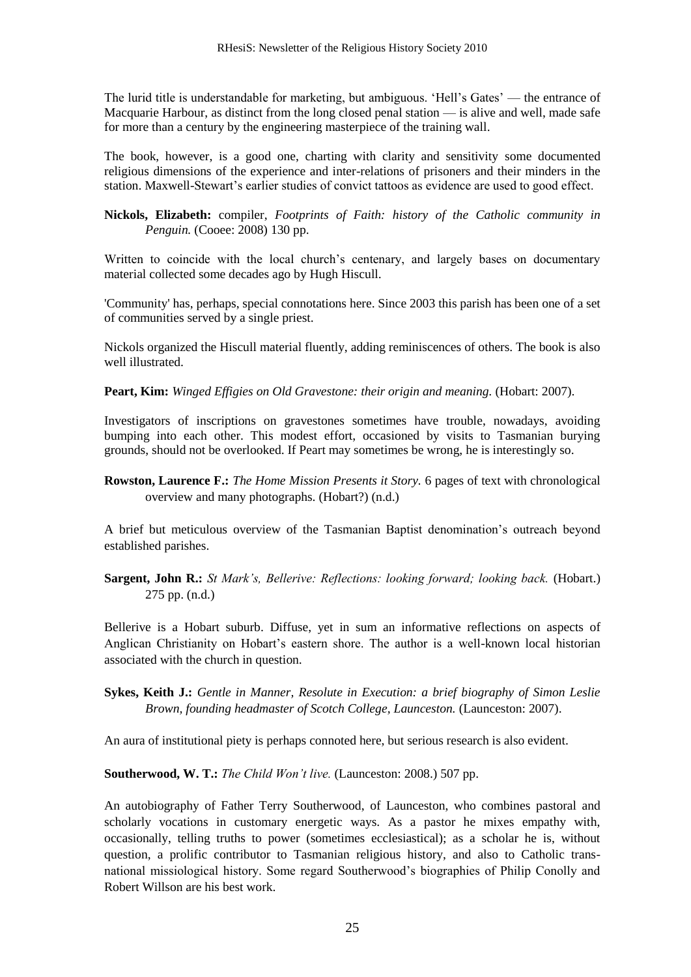The lurid title is understandable for marketing, but ambiguous. 'Hell's Gates' — the entrance of Macquarie Harbour, as distinct from the long closed penal station — is alive and well, made safe for more than a century by the engineering masterpiece of the training wall.

The book, however, is a good one, charting with clarity and sensitivity some documented religious dimensions of the experience and inter-relations of prisoners and their minders in the station. Maxwell-Stewart's earlier studies of convict tattoos as evidence are used to good effect.

**Nickols, Elizabeth:** compiler, *Footprints of Faith: history of the Catholic community in Penguin.* (Cooee: 2008) 130 pp.

Written to coincide with the local church's centenary, and largely bases on documentary material collected some decades ago by Hugh Hiscull.

'Community' has, perhaps, special connotations here. Since 2003 this parish has been one of a set of communities served by a single priest.

Nickols organized the Hiscull material fluently, adding reminiscences of others. The book is also well illustrated.

**Peart, Kim:** *Winged Effigies on Old Gravestone: their origin and meaning.* (Hobart: 2007).

Investigators of inscriptions on gravestones sometimes have trouble, nowadays, avoiding bumping into each other. This modest effort, occasioned by visits to Tasmanian burying grounds, should not be overlooked. If Peart may sometimes be wrong, he is interestingly so.

**Rowston, Laurence F.:** *The Home Mission Presents it Story.* 6 pages of text with chronological overview and many photographs. (Hobart?) (n.d.)

A brief but meticulous overview of the Tasmanian Baptist denomination's outreach beyond established parishes.

**Sargent, John R.:** *St Mark's, Bellerive: Reflections: looking forward; looking back.* (Hobart.) 275 pp. (n.d.)

Bellerive is a Hobart suburb. Diffuse, yet in sum an informative reflections on aspects of Anglican Christianity on Hobart's eastern shore. The author is a well-known local historian associated with the church in question.

**Sykes, Keith J.:** *Gentle in Manner, Resolute in Execution: a brief biography of Simon Leslie Brown, founding headmaster of Scotch College, Launceston.* (Launceston: 2007).

An aura of institutional piety is perhaps connoted here, but serious research is also evident.

**Southerwood, W. T.:** *The Child Won't live.* (Launceston: 2008.) 507 pp.

An autobiography of Father Terry Southerwood, of Launceston, who combines pastoral and scholarly vocations in customary energetic ways. As a pastor he mixes empathy with, occasionally, telling truths to power (sometimes ecclesiastical); as a scholar he is, without question, a prolific contributor to Tasmanian religious history, and also to Catholic transnational missiological history. Some regard Southerwood's biographies of Philip Conolly and Robert Willson are his best work.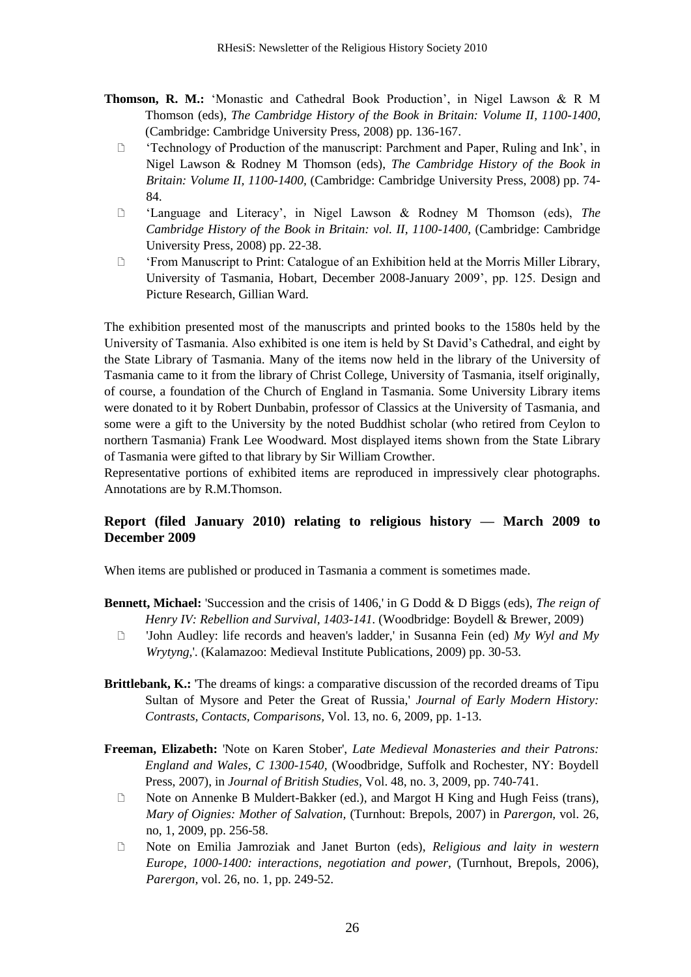- **Thomson, R. M.:** 'Monastic and Cathedral Book Production', in Nigel Lawson & R M Thomson (eds), *The Cambridge History of the Book in Britain: Volume II, 1100-1400,* (Cambridge: Cambridge University Press, 2008) pp. 136-167.
	- $\Box$  'Technology of Production of the manuscript: Parchment and Paper, Ruling and Ink', in Nigel Lawson & Rodney M Thomson (eds), *The Cambridge History of the Book in Britain: Volume II, 1100-1400,* (Cambridge: Cambridge University Press, 2008) pp. 74- 84.
	- ‗Language and Literacy', in Nigel Lawson & Rodney M Thomson (eds), *The Cambridge History of the Book in Britain: vol. II, 1100-1400,* (Cambridge: Cambridge University Press, 2008) pp. 22-38.
	- <sup> $\Box$ </sup> 'From Manuscript to Print: Catalogue of an Exhibition held at the Morris Miller Library, University of Tasmania, Hobart, December 2008-January 2009', pp. 125. Design and Picture Research, Gillian Ward.

The exhibition presented most of the manuscripts and printed books to the 1580s held by the University of Tasmania. Also exhibited is one item is held by St David's Cathedral, and eight by the State Library of Tasmania. Many of the items now held in the library of the University of Tasmania came to it from the library of Christ College, University of Tasmania, itself originally, of course, a foundation of the Church of England in Tasmania. Some University Library items were donated to it by Robert Dunbabin, professor of Classics at the University of Tasmania, and some were a gift to the University by the noted Buddhist scholar (who retired from Ceylon to northern Tasmania) Frank Lee Woodward. Most displayed items shown from the State Library of Tasmania were gifted to that library by Sir William Crowther.

Representative portions of exhibited items are reproduced in impressively clear photographs. Annotations are by R.M.Thomson.

### **Report (filed January 2010) relating to religious history — March 2009 to December 2009**

When items are published or produced in Tasmania a comment is sometimes made.

- **Bennett, Michael:** 'Succession and the crisis of 1406,' in G Dodd & D Biggs (eds), *The reign of Henry IV: Rebellion and Survival, 1403-141.* (Woodbridge: Boydell & Brewer, 2009)
	- 'John Audley: life records and heaven's ladder,' in Susanna Fein (ed) *My Wyl and My Wrytyng,*'. (Kalamazoo: Medieval Institute Publications, 2009) pp. 30-53.
- **Brittlebank, K.:** 'The dreams of kings: a comparative discussion of the recorded dreams of Tipu Sultan of Mysore and Peter the Great of Russia,' *Journal of Early Modern History: Contrasts, Contacts, Comparisons,* Vol. 13, no. 6, 2009, pp. 1-13.
- **Freeman, Elizabeth:** 'Note on Karen Stober', *Late Medieval Monasteries and their Patrons: England and Wales, C 1300-1540,* (Woodbridge, Suffolk and Rochester, NY: Boydell Press, 2007), in *Journal of British Studies,* Vol. 48, no. 3, 2009, pp. 740-741.
	- □ Note on Annenke B Muldert-Bakker (ed.), and Margot H King and Hugh Feiss (trans), *Mary of Oignies: Mother of Salvation,* (Turnhout: Brepols, 2007) in *Parergon,* vol. 26, no, 1, 2009, pp. 256-58.
	- Note on Emilia Jamroziak and Janet Burton (eds), *Religious and laity in western Europe, 1000-1400: interactions, negotiation and power,* (Turnhout, Brepols, 2006), *Parergon,* vol. 26, no. 1, pp. 249-52.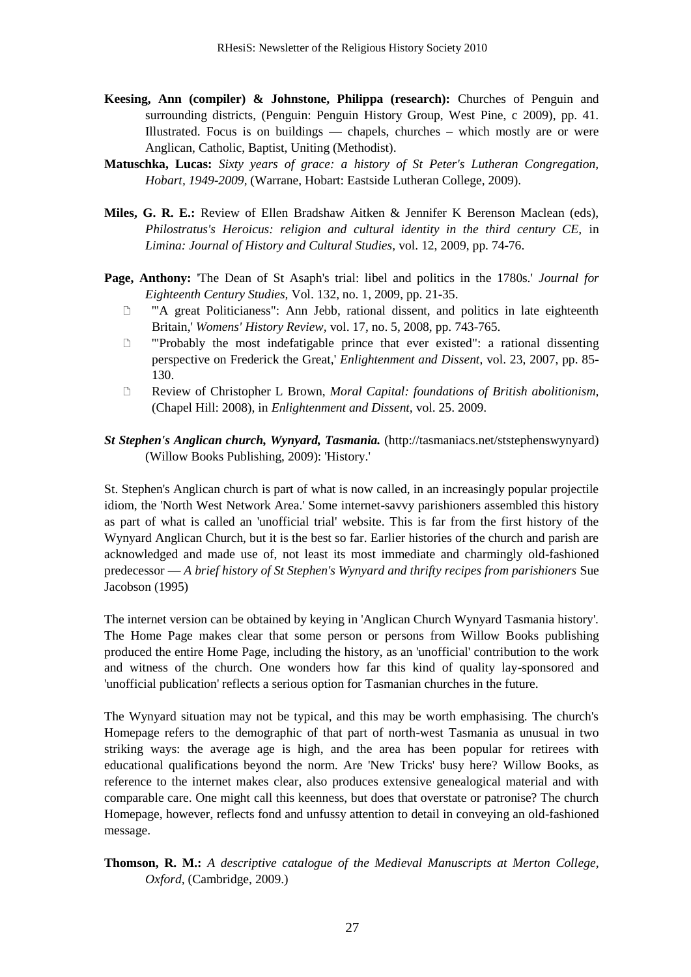- **Keesing, Ann (compiler) & Johnstone, Philippa (research):** Churches of Penguin and surrounding districts, (Penguin: Penguin History Group, West Pine, c 2009), pp. 41. Illustrated. Focus is on buildings — chapels, churches – which mostly are or were Anglican, Catholic, Baptist, Uniting (Methodist).
- **Matuschka, Lucas:** *Sixty years of grace: a history of St Peter's Lutheran Congregation, Hobart, 1949-2009,* (Warrane, Hobart: Eastside Lutheran College, 2009).
- **Miles, G. R. E.:** Review of Ellen Bradshaw Aitken & Jennifer K Berenson Maclean (eds), *Philostratus's Heroicus: religion and cultural identity in the third century CE,* in *Limina: Journal of History and Cultural Studies,* vol. 12, 2009, pp. 74-76.
- **Page, Anthony:** 'The Dean of St Asaph's trial: libel and politics in the 1780s.' *Journal for Eighteenth Century Studies,* Vol. 132, no. 1, 2009, pp. 21-35.
	- '"A great Politicianess": Ann Jebb, rational dissent, and politics in late eighteenth Britain,' *Womens' History Review,* vol. 17, no. 5, 2008, pp. 743-765.
	- '"Probably the most indefatigable prince that ever existed": a rational dissenting perspective on Frederick the Great,' *Enlightenment and Dissent*, vol. 23, 2007, pp. 85- 130.
	- Review of Christopher L Brown, *Moral Capital: foundations of British abolitionism,*  (Chapel Hill: 2008), in *Enlightenment and Dissent,* vol. 25. 2009.
- *St Stephen's Anglican church, Wynyard, Tasmania.* (http://tasmaniacs.net/ststephenswynyard) (Willow Books Publishing, 2009): 'History.'

St. Stephen's Anglican church is part of what is now called, in an increasingly popular projectile idiom, the 'North West Network Area.' Some internet-savvy parishioners assembled this history as part of what is called an 'unofficial trial' website. This is far from the first history of the Wynyard Anglican Church, but it is the best so far. Earlier histories of the church and parish are acknowledged and made use of, not least its most immediate and charmingly old-fashioned predecessor — *A brief history of St Stephen's Wynyard and thrifty recipes from parishioners* Sue Jacobson (1995)

The internet version can be obtained by keying in 'Anglican Church Wynyard Tasmania history'. The Home Page makes clear that some person or persons from Willow Books publishing produced the entire Home Page, including the history, as an 'unofficial' contribution to the work and witness of the church. One wonders how far this kind of quality lay-sponsored and 'unofficial publication' reflects a serious option for Tasmanian churches in the future.

The Wynyard situation may not be typical, and this may be worth emphasising. The church's Homepage refers to the demographic of that part of north-west Tasmania as unusual in two striking ways: the average age is high, and the area has been popular for retirees with educational qualifications beyond the norm. Are 'New Tricks' busy here? Willow Books, as reference to the internet makes clear, also produces extensive genealogical material and with comparable care. One might call this keenness, but does that overstate or patronise? The church Homepage, however, reflects fond and unfussy attention to detail in conveying an old-fashioned message.

**Thomson, R. M.:** *A descriptive catalogue of the Medieval Manuscripts at Merton College, Oxford,* (Cambridge, 2009.)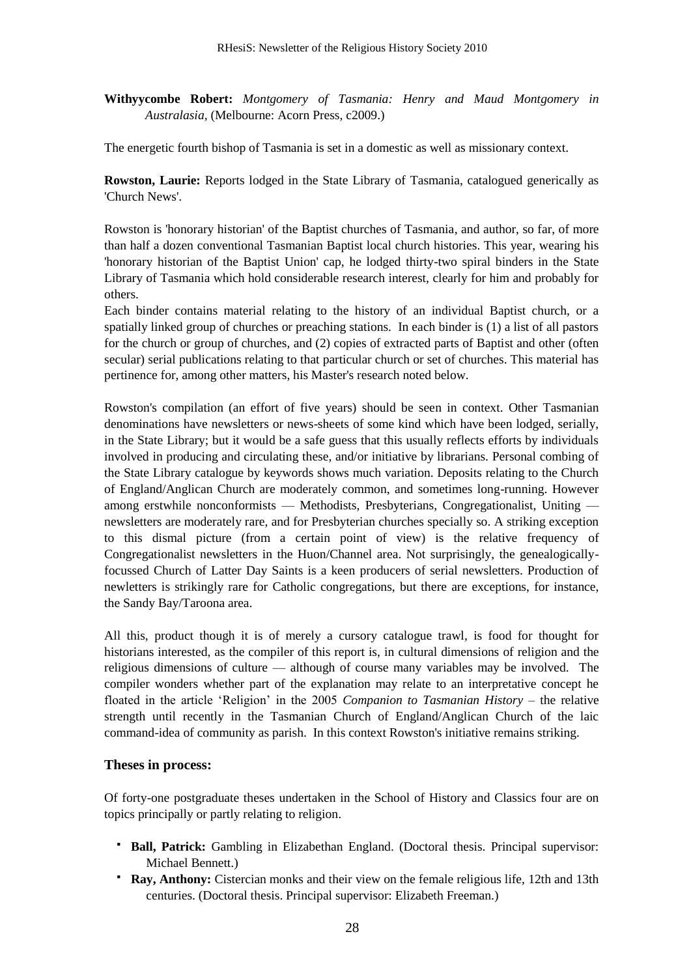**Withyycombe Robert:** *Montgomery of Tasmania: Henry and Maud Montgomery in Australasia,* (Melbourne: Acorn Press, c2009.)

The energetic fourth bishop of Tasmania is set in a domestic as well as missionary context.

**Rowston, Laurie:** Reports lodged in the State Library of Tasmania, catalogued generically as 'Church News'.

Rowston is 'honorary historian' of the Baptist churches of Tasmania, and author, so far, of more than half a dozen conventional Tasmanian Baptist local church histories. This year, wearing his 'honorary historian of the Baptist Union' cap, he lodged thirty-two spiral binders in the State Library of Tasmania which hold considerable research interest, clearly for him and probably for others.

Each binder contains material relating to the history of an individual Baptist church, or a spatially linked group of churches or preaching stations. In each binder is (1) a list of all pastors for the church or group of churches, and (2) copies of extracted parts of Baptist and other (often secular) serial publications relating to that particular church or set of churches. This material has pertinence for, among other matters, his Master's research noted below.

Rowston's compilation (an effort of five years) should be seen in context. Other Tasmanian denominations have newsletters or news-sheets of some kind which have been lodged, serially, in the State Library; but it would be a safe guess that this usually reflects efforts by individuals involved in producing and circulating these, and/or initiative by librarians. Personal combing of the State Library catalogue by keywords shows much variation. Deposits relating to the Church of England/Anglican Church are moderately common, and sometimes long-running. However among erstwhile nonconformists — Methodists, Presbyterians, Congregationalist, Uniting newsletters are moderately rare, and for Presbyterian churches specially so. A striking exception to this dismal picture (from a certain point of view) is the relative frequency of Congregationalist newsletters in the Huon/Channel area. Not surprisingly, the genealogicallyfocussed Church of Latter Day Saints is a keen producers of serial newsletters. Production of newletters is strikingly rare for Catholic congregations, but there are exceptions, for instance, the Sandy Bay/Taroona area.

All this, product though it is of merely a cursory catalogue trawl, is food for thought for historians interested, as the compiler of this report is, in cultural dimensions of religion and the religious dimensions of culture — although of course many variables may be involved. The compiler wonders whether part of the explanation may relate to an interpretative concept he floated in the article ‗Religion' in the 2005 *Companion to Tasmanian History –* the relative strength until recently in the Tasmanian Church of England/Anglican Church of the laic command-idea of community as parish. In this context Rowston's initiative remains striking.

#### **Theses in process:**

Of forty-one postgraduate theses undertaken in the School of History and Classics four are on topics principally or partly relating to religion.

- **Ball, Patrick:** Gambling in Elizabethan England. (Doctoral thesis. Principal supervisor: Michael Bennett.)
- **Ray, Anthony:** Cistercian monks and their view on the female religious life, 12th and 13th centuries. (Doctoral thesis. Principal supervisor: Elizabeth Freeman.)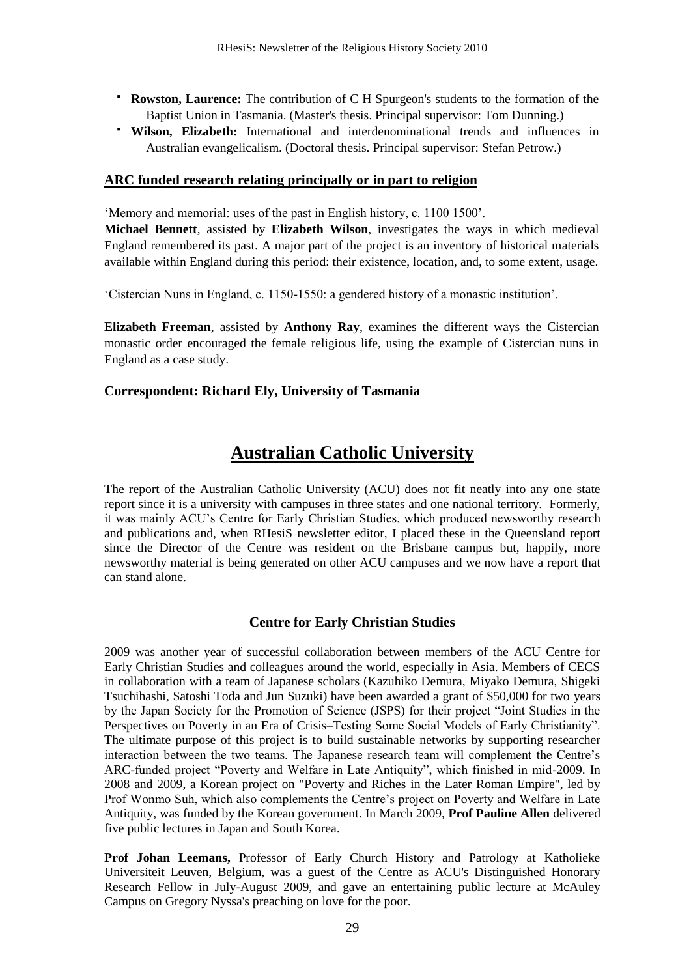- **Rowston, Laurence:** The contribution of C H Spurgeon's students to the formation of the Baptist Union in Tasmania. (Master's thesis. Principal supervisor: Tom Dunning.)
- **Wilson, Elizabeth:** International and interdenominational trends and influences in Australian evangelicalism. (Doctoral thesis. Principal supervisor: Stefan Petrow.)

#### **ARC funded research relating principally or in part to religion**

‗Memory and memorial: uses of the past in English history, c. 1100 1500'.

**Michael Bennett**, assisted by **Elizabeth Wilson**, investigates the ways in which medieval England remembered its past. A major part of the project is an inventory of historical materials available within England during this period: their existence, location, and, to some extent, usage.

‗Cistercian Nuns in England, c. 1150-1550: a gendered history of a monastic institution'.

**Elizabeth Freeman**, assisted by **Anthony Ray**, examines the different ways the Cistercian monastic order encouraged the female religious life, using the example of Cistercian nuns in England as a case study.

#### **Correspondent: Richard Ely, University of Tasmania**

# **Australian Catholic University**

The report of the Australian Catholic University (ACU) does not fit neatly into any one state report since it is a university with campuses in three states and one national territory. Formerly, it was mainly ACU's Centre for Early Christian Studies, which produced newsworthy research and publications and, when RHesiS newsletter editor, I placed these in the Queensland report since the Director of the Centre was resident on the Brisbane campus but, happily, more newsworthy material is being generated on other ACU campuses and we now have a report that can stand alone.

### **Centre for Early Christian Studies**

2009 was another year of successful collaboration between members of the ACU Centre for Early Christian Studies and colleagues around the world, especially in Asia. Members of CECS in collaboration with a team of Japanese scholars (Kazuhiko Demura, Miyako Demura, Shigeki Tsuchihashi, Satoshi Toda and Jun Suzuki) have been awarded a grant of \$50,000 for two years by the Japan Society for the Promotion of Science (JSPS) for their project "Joint Studies in the Perspectives on Poverty in an Era of Crisis–Testing Some Social Models of Early Christianity". The ultimate purpose of this project is to build sustainable networks by supporting researcher interaction between the two teams. The Japanese research team will complement the Centre's ARC-funded project "Poverty and Welfare in Late Antiquity", which finished in mid-2009. In 2008 and 2009, a Korean project on "Poverty and Riches in the Later Roman Empire", led by Prof Wonmo Suh, which also complements the Centre's project on Poverty and Welfare in Late Antiquity, was funded by the Korean government. In March 2009, **Prof Pauline Allen** delivered five public lectures in Japan and South Korea.

**Prof Johan Leemans,** Professor of Early Church History and Patrology at Katholieke Universiteit Leuven, Belgium, was a guest of the Centre as ACU's Distinguished Honorary Research Fellow in July-August 2009, and gave an entertaining public lecture at McAuley Campus on Gregory Nyssa's preaching on love for the poor.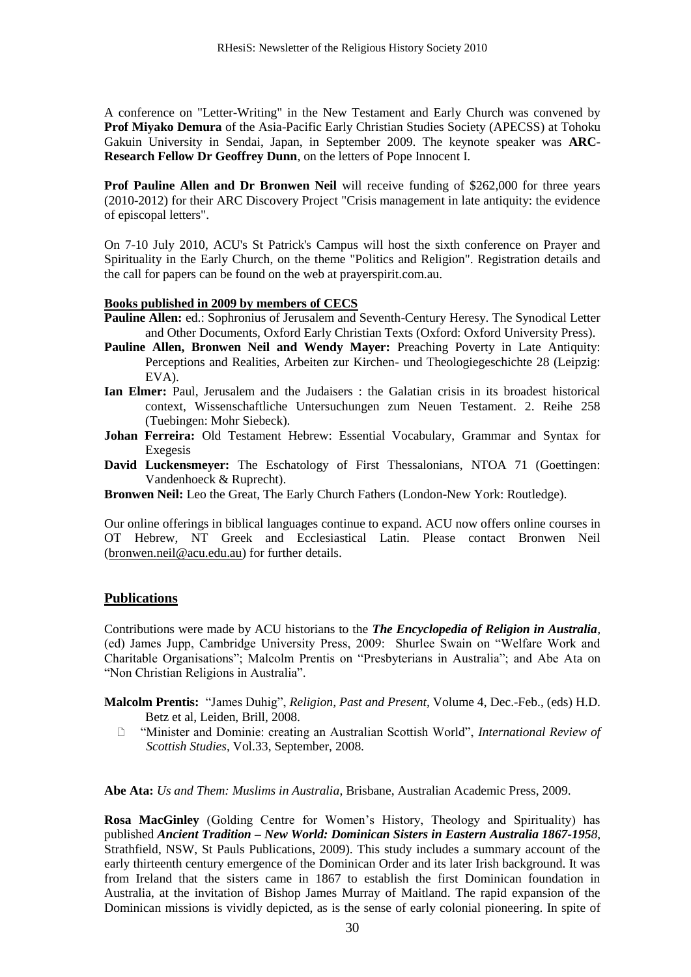A conference on "Letter-Writing" in the New Testament and Early Church was convened by **Prof Miyako Demura** of the Asia-Pacific Early Christian Studies Society (APECSS) at Tohoku Gakuin University in Sendai, Japan, in September 2009. The keynote speaker was **ARC-Research Fellow Dr Geoffrey Dunn**, on the letters of Pope Innocent I.

**Prof Pauline Allen and Dr Bronwen Neil** will receive funding of \$262,000 for three years (2010-2012) for their ARC Discovery Project "Crisis management in late antiquity: the evidence of episcopal letters".

On 7-10 July 2010, ACU's St Patrick's Campus will host the sixth conference on Prayer and Spirituality in the Early Church, on the theme "Politics and Religion". Registration details and the call for papers can be found on the web at prayerspirit.com.au.

#### **Books published in 2009 by members of CECS**

- **Pauline Allen:** ed.: Sophronius of Jerusalem and Seventh-Century Heresy. The Synodical Letter and Other Documents, Oxford Early Christian Texts (Oxford: Oxford University Press).
- **Pauline Allen, Bronwen Neil and Wendy Mayer:** Preaching Poverty in Late Antiquity: Perceptions and Realities, Arbeiten zur Kirchen- und Theologiegeschichte 28 (Leipzig: EVA).
- **Ian Elmer:** Paul, Jerusalem and the Judaisers : the Galatian crisis in its broadest historical context, Wissenschaftliche Untersuchungen zum Neuen Testament. 2. Reihe 258 (Tuebingen: Mohr Siebeck).
- **Johan Ferreira:** Old Testament Hebrew: Essential Vocabulary, Grammar and Syntax for Exegesis
- **David Luckensmeyer:** The Eschatology of First Thessalonians, NTOA 71 (Goettingen: Vandenhoeck & Ruprecht).
- **Bronwen Neil:** Leo the Great, The Early Church Fathers (London-New York: Routledge).

Our online offerings in biblical languages continue to expand. ACU now offers online courses in OT Hebrew, NT Greek and Ecclesiastical Latin. Please contact Bronwen Neil [\(bronwen.neil@acu.edu.au\)](mailto:bronwen.neil@acu.edu.au) for further details.

#### **Publications**

Contributions were made by ACU historians to the *The Encyclopedia of Religion in Australia,* (ed) James Jupp, Cambridge University Press, 2009: Shurlee Swain on "Welfare Work and Charitable Organisations"; Malcolm Prentis on "Presbyterians in Australia"; and Abe Ata on "Non Christian Religions in Australia".

**Malcolm Prentis:** "James Duhig", *Religion, Past and Present*, Volume 4, Dec.-Feb., (eds) H.D. Betz et al, Leiden, Brill, 2008.

 ―Minister and Dominie: creating an Australian Scottish World‖, *International Review of Scottish Studies*, Vol.33, September, 2008.

**Abe Ata:** *Us and Them: Muslims in Australia*, Brisbane, Australian Academic Press, 2009.

**Rosa MacGinley** (Golding Centre for Women's History, Theology and Spirituality) has published *Ancient Tradition – New World: Dominican Sisters in Eastern Australia 1867-1958*, Strathfield, NSW, St Pauls Publications, 2009). This study includes a summary account of the early thirteenth century emergence of the Dominican Order and its later Irish background. It was from Ireland that the sisters came in 1867 to establish the first Dominican foundation in Australia, at the invitation of Bishop James Murray of Maitland. The rapid expansion of the Dominican missions is vividly depicted, as is the sense of early colonial pioneering. In spite of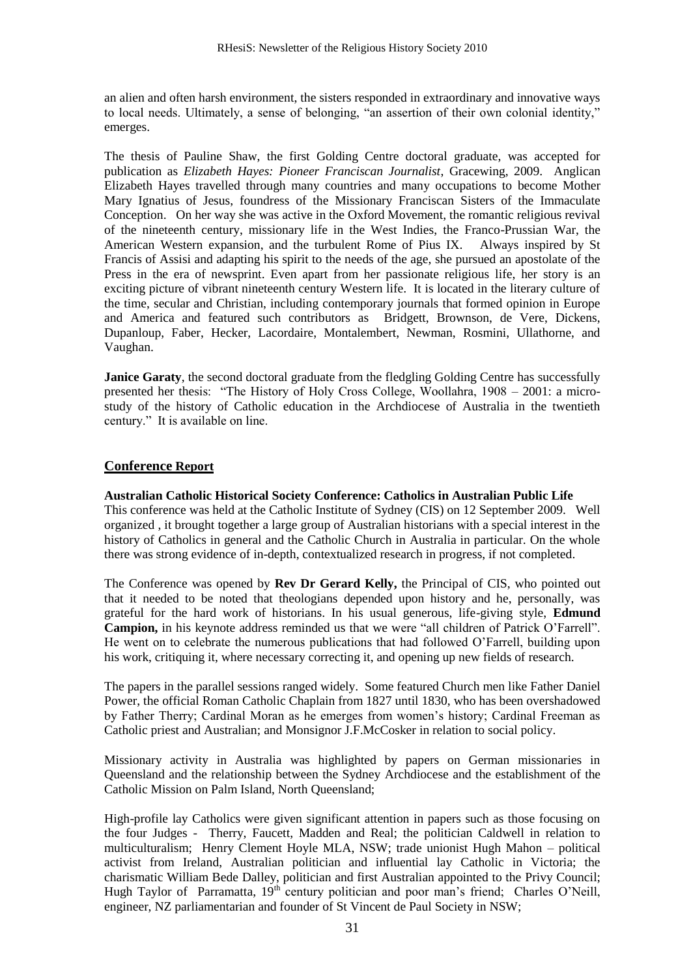an alien and often harsh environment, the sisters responded in extraordinary and innovative ways to local needs. Ultimately, a sense of belonging, "an assertion of their own colonial identity," emerges.

The thesis of Pauline Shaw, the first Golding Centre doctoral graduate, was accepted for publication as *Elizabeth Hayes: Pioneer Franciscan Journalist*, Gracewing, 2009.Anglican Elizabeth Hayes travelled through many countries and many occupations to become Mother Mary Ignatius of Jesus, foundress of the Missionary Franciscan Sisters of the Immaculate Conception. On her way she was active in the Oxford Movement, the romantic religious revival of the nineteenth century, missionary life in the West Indies, the Franco-Prussian War, the American Western expansion, and the turbulent Rome of Pius IX. Always inspired by St Francis of Assisi and adapting his spirit to the needs of the age, she pursued an apostolate of the Press in the era of newsprint. Even apart from her passionate religious life, her story is an exciting picture of vibrant nineteenth century Western life. It is located in the literary culture of the time, secular and Christian, including contemporary journals that formed opinion in Europe and America and featured such contributors as Bridgett, Brownson, de Vere, Dickens, Dupanloup, Faber, Hecker, Lacordaire, Montalembert, Newman, Rosmini, Ullathorne, and Vaughan.

**Janice Garaty**, the second doctoral graduate from the fledgling Golding Centre has successfully presented her thesis: "The History of Holy Cross College, Woollahra, 1908 – 2001: a microstudy of the history of Catholic education in the Archdiocese of Australia in the twentieth century." It is available on line.

### **Conference Report**

# **Australian Catholic Historical Society Conference: Catholics in Australian Public Life**

This conference was held at the Catholic Institute of Sydney (CIS) on 12 September 2009. Well organized , it brought together a large group of Australian historians with a special interest in the history of Catholics in general and the Catholic Church in Australia in particular. On the whole there was strong evidence of in-depth, contextualized research in progress, if not completed.

The Conference was opened by **Rev Dr Gerard Kelly,** the Principal of CIS, who pointed out that it needed to be noted that theologians depended upon history and he, personally, was grateful for the hard work of historians. In his usual generous, life-giving style, **Edmund Campion,** in his keynote address reminded us that we were "all children of Patrick O'Farrell". He went on to celebrate the numerous publications that had followed O'Farrell, building upon his work, critiquing it, where necessary correcting it, and opening up new fields of research.

The papers in the parallel sessions ranged widely. Some featured Church men like Father Daniel Power, the official Roman Catholic Chaplain from 1827 until 1830, who has been overshadowed by Father Therry; Cardinal Moran as he emerges from women's history; Cardinal Freeman as Catholic priest and Australian; and Monsignor J.F.McCosker in relation to social policy.

Missionary activity in Australia was highlighted by papers on German missionaries in Queensland and the relationship between the Sydney Archdiocese and the establishment of the Catholic Mission on Palm Island, North Queensland;

High-profile lay Catholics were given significant attention in papers such as those focusing on the four Judges - Therry, Faucett, Madden and Real; the politician Caldwell in relation to multiculturalism; Henry Clement Hoyle MLA, NSW; trade unionist Hugh Mahon – political activist from Ireland, Australian politician and influential lay Catholic in Victoria; the charismatic William Bede Dalley, politician and first Australian appointed to the Privy Council; Hugh Taylor of Parramatta, 19<sup>th</sup> century politician and poor man's friend; Charles O'Neill, engineer, NZ parliamentarian and founder of St Vincent de Paul Society in NSW;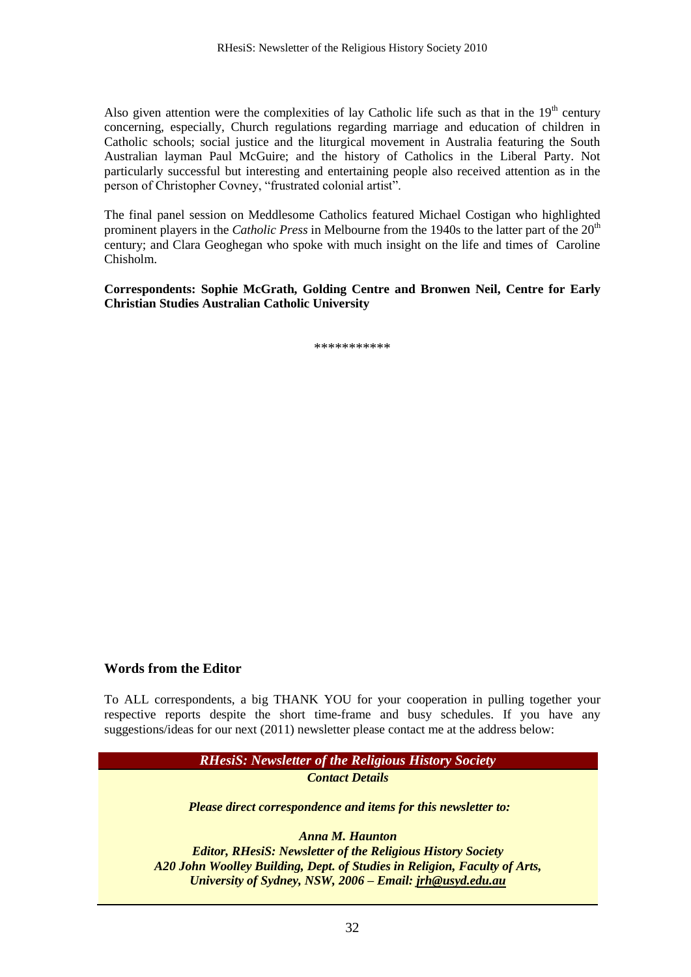Also given attention were the complexities of lay Catholic life such as that in the  $19<sup>th</sup>$  century concerning, especially, Church regulations regarding marriage and education of children in Catholic schools; social justice and the liturgical movement in Australia featuring the South Australian layman Paul McGuire; and the history of Catholics in the Liberal Party. Not particularly successful but interesting and entertaining people also received attention as in the person of Christopher Covney, "frustrated colonial artist".

The final panel session on Meddlesome Catholics featured Michael Costigan who highlighted prominent players in the *Catholic Press* in Melbourne from the 1940s to the latter part of the 20<sup>th</sup> century; and Clara Geoghegan who spoke with much insight on the life and times of Caroline Chisholm.

**Correspondents: Sophie McGrath, Golding Centre and Bronwen Neil, Centre for Early Christian Studies Australian Catholic University**

\*\*\*\*\*\*\*\*\*\*\*

#### **Words from the Editor**

To ALL correspondents, a big THANK YOU for your cooperation in pulling together your respective reports despite the short time-frame and busy schedules. If you have any suggestions/ideas for our next (2011) newsletter please contact me at the address below:

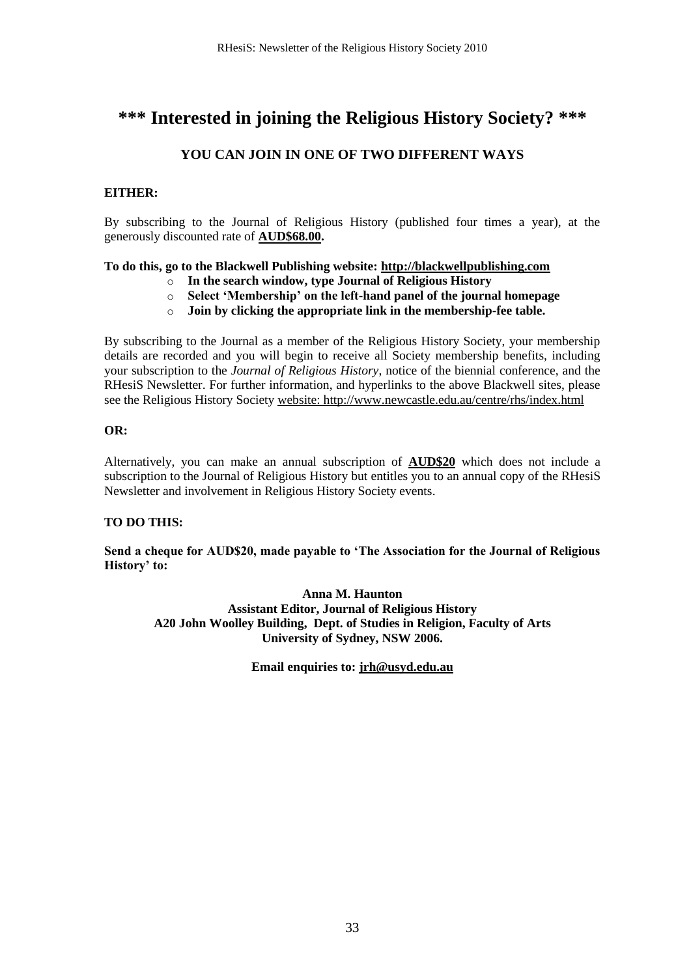# **\*\*\* Interested in joining the Religious History Society? \*\*\***

### **YOU CAN JOIN IN ONE OF TWO DIFFERENT WAYS**

### **EITHER:**

By subscribing to the Journal of Religious History (published four times a year), at the generously discounted rate of **AUD\$68.00.**

### **To do this, go to the Blackwell Publishing website: [http://blackwellpublishing.com](http://blackwellpublishing.com/)**

- o **In the search window, type Journal of Religious History**
- o **Select 'Membership' on the left-hand panel of the journal homepage**
- o **Join by clicking the appropriate link in the membership-fee table.**

By subscribing to the Journal as a member of the Religious History Society, your membership details are recorded and you will begin to receive all Society membership benefits, including your subscription to the *Journal of Religious History*, notice of the biennial conference, and the RHesiS Newsletter. For further information, and hyperlinks to the above Blackwell sites, please see the Religious History Society website[: http://www.newcastle.edu.au/centre/rhs/index.html](http://www.newcastle.edu.au/centre/rhs/index.html)

#### **OR:**

Alternatively, you can make an annual subscription of **AUD\$20** which does not include a subscription to the Journal of Religious History but entitles you to an annual copy of the RHesiS Newsletter and involvement in Religious History Society events.

### **TO DO THIS:**

**Send a cheque for AUD\$20, made payable to 'The Association for the Journal of Religious History' to:**

**Anna M. Haunton Assistant Editor, Journal of Religious History A20 John Woolley Building, Dept. of Studies in Religion, Faculty of Arts University of Sydney, NSW 2006.**

**Email enquiries to: [jrh@usyd.edu.au](mailto:jrh@usyd.edu.au)**